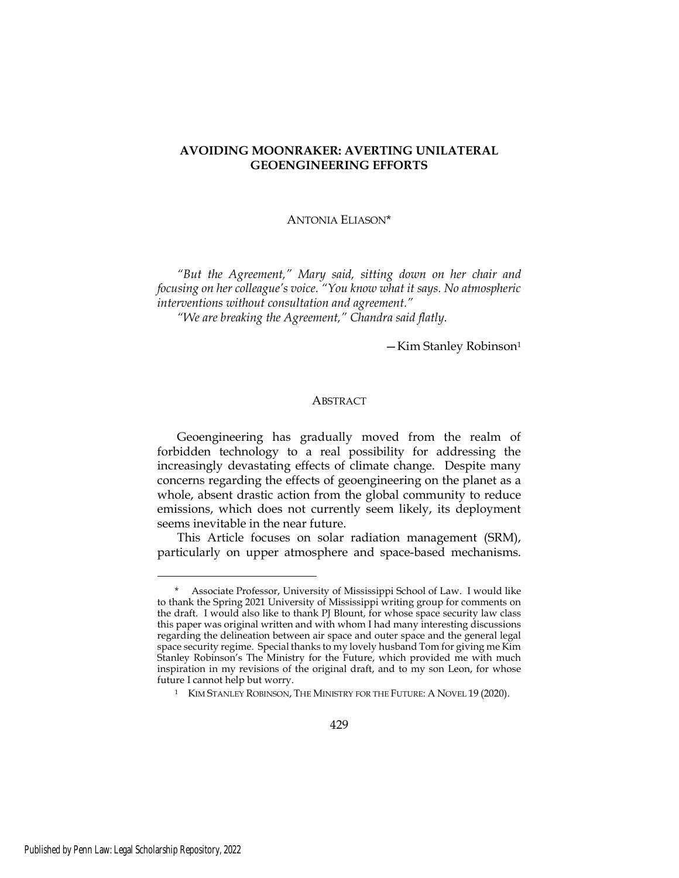# AVOIDING MOONRAKER: AVERTING UNILATERAL GEOENGINEERING EFFORTS

# ANTONIA ELIASON\*

"But the Agreement," Mary said, sitting down on her chair and focusing on her colleague's voice. "You know what it says. No atmospheric interventions without consultation and agreement."

"We are breaking the Agreement," Chandra said flatly.

—Kim Stanley Robinson<sup>1</sup>

# ABSTRACT

Geoengineering has gradually moved from the realm of forbidden technology to a real possibility for addressing the increasingly devastating effects of climate change. Despite many concerns regarding the effects of geoengineering on the planet as a whole, absent drastic action from the global community to reduce emissions, which does not currently seem likely, its deployment seems inevitable in the near future.

This Article focuses on solar radiation management (SRM), particularly on upper atmosphere and space-based mechanisms.

Associate Professor, University of Mississippi School of Law. I would like to thank the Spring 2021 University of Mississippi writing group for comments on the draft. I would also like to thank PJ Blount, for whose space security law class this paper was original written and with whom I had many interesting discussions regarding the delineation between air space and outer space and the general legal space security regime. Special thanks to my lovely husband Tom for giving me Kim Stanley Robinson's The Ministry for the Future, which provided me with much inspiration in my revisions of the original draft, and to my son Leon, for whose future I cannot help but worry.

<sup>&</sup>lt;sup>1</sup> KIM STANLEY ROBINSON, THE MINISTRY FOR THE FUTURE: A NOVEL 19 (2020).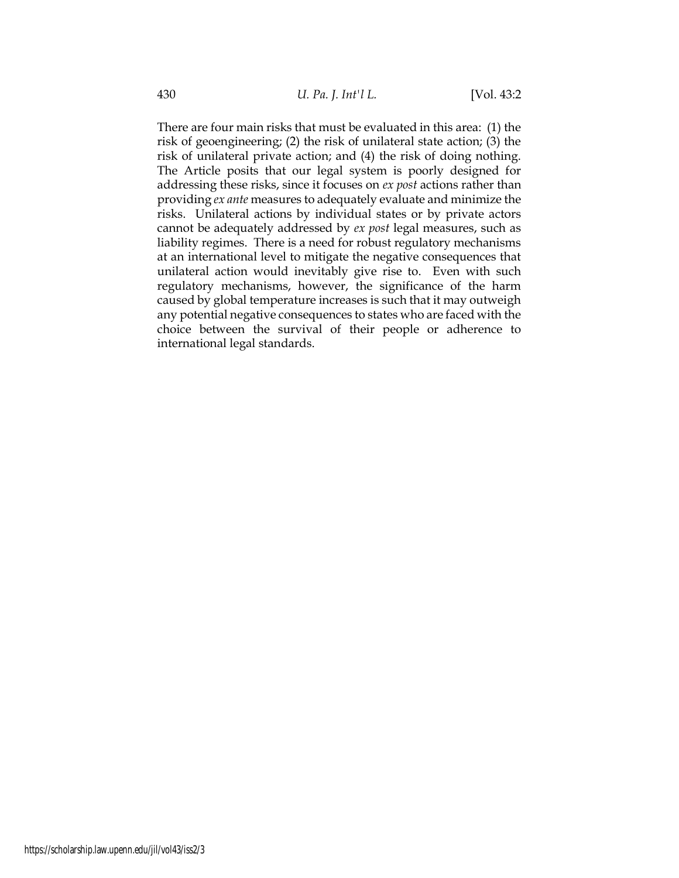There are four main risks that must be evaluated in this area: (1) the risk of geoengineering; (2) the risk of unilateral state action; (3) the risk of unilateral private action; and (4) the risk of doing nothing. The Article posits that our legal system is poorly designed for addressing these risks, since it focuses on ex post actions rather than providing ex ante measures to adequately evaluate and minimize the risks. Unilateral actions by individual states or by private actors cannot be adequately addressed by ex post legal measures, such as liability regimes. There is a need for robust regulatory mechanisms at an international level to mitigate the negative consequences that unilateral action would inevitably give rise to. Even with such regulatory mechanisms, however, the significance of the harm caused by global temperature increases is such that it may outweigh any potential negative consequences to states who are faced with the choice between the survival of their people or adherence to international legal standards.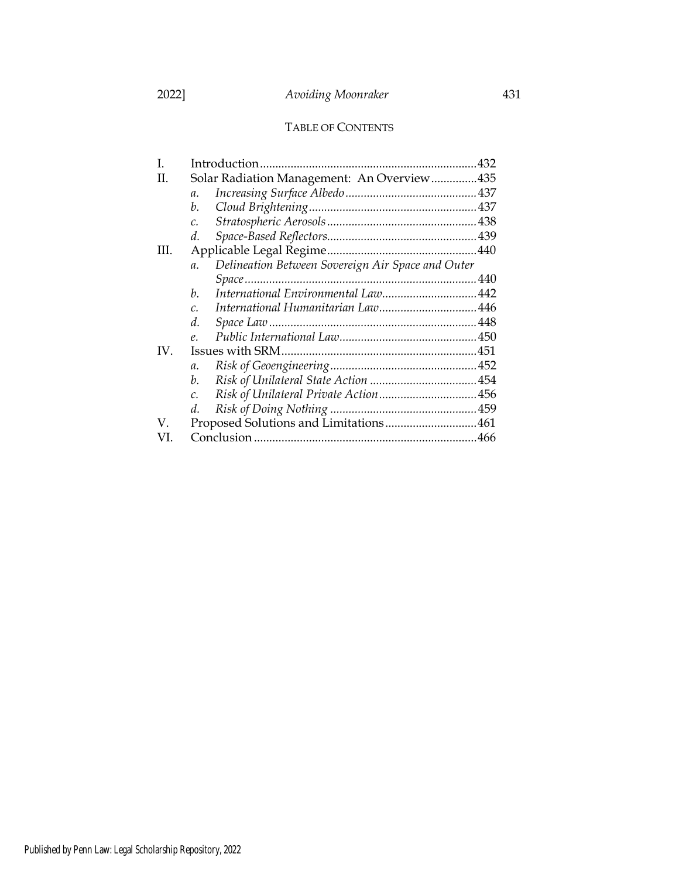# TABLE OF CONTENTS

| Ι.   |                                                                      |  |
|------|----------------------------------------------------------------------|--|
| H.   | Solar Radiation Management: An Overview435                           |  |
|      | $\mathfrak{a}$ .                                                     |  |
|      | b.                                                                   |  |
|      | $\mathcal{C}$ .                                                      |  |
|      | d.                                                                   |  |
| III. |                                                                      |  |
|      | Delineation Between Sovereign Air Space and Outer<br>$\mathfrak{a}.$ |  |
|      |                                                                      |  |
|      | International Environmental Law 442<br>h.                            |  |
|      | C.                                                                   |  |
|      | d.                                                                   |  |
|      | $\rho$ .                                                             |  |
| IV.  |                                                                      |  |
|      | $\mathfrak{a}.$                                                      |  |
|      | b.                                                                   |  |
|      | $\mathcal{C}$ .                                                      |  |
|      | d.                                                                   |  |
| V.   |                                                                      |  |
| VI.  |                                                                      |  |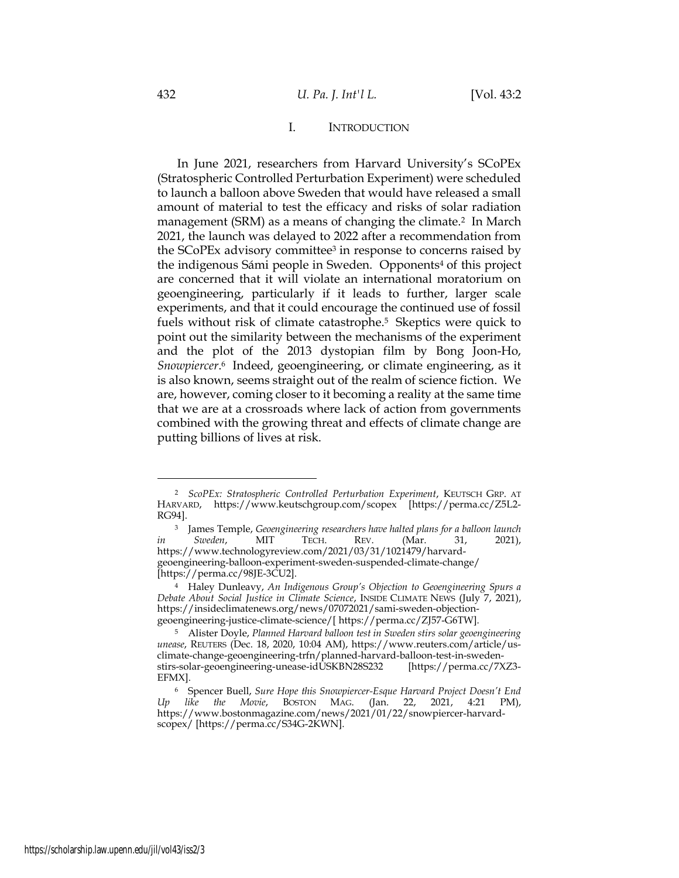# I. INTRODUCTION

In June 2021, researchers from Harvard University's SCoPEx (Stratospheric Controlled Perturbation Experiment) were scheduled to launch a balloon above Sweden that would have released a small amount of material to test the efficacy and risks of solar radiation management (SRM) as a means of changing the climate.<sup>2</sup> In March 2021, the launch was delayed to 2022 after a recommendation from the SCoPEx advisory committee3 in response to concerns raised by the indigenous Sámi people in Sweden. Opponents4 of this project are concerned that it will violate an international moratorium on geoengineering, particularly if it leads to further, larger scale experiments, and that it could encourage the continued use of fossil fuels without risk of climate catastrophe.5 Skeptics were quick to point out the similarity between the mechanisms of the experiment and the plot of the 2013 dystopian film by Bong Joon-Ho, Snowpiercer. <sup>6</sup> Indeed, geoengineering, or climate engineering, as it is also known, seems straight out of the realm of science fiction. We are, however, coming closer to it becoming a reality at the same time that we are at a crossroads where lack of action from governments combined with the growing threat and effects of climate change are putting billions of lives at risk.

<sup>&</sup>lt;sup>2</sup> ScoPEx: Stratospheric Controlled Perturbation Experiment, KEUTSCH GRP. AT HARVARD, https://www.keutschgroup.com/scopex [https://perma.cc/Z5L2- RG94].

<sup>&</sup>lt;sup>3</sup> James Temple, Geoengineering researchers have halted plans for a balloon launch in Sweden, MIT TECH. REV. (Mar. 31, 2021), https://www.technologyreview.com/2021/03/31/1021479/harvardgeoengineering-balloon-experiment-sweden-suspended-climate-change/ [https://perma.cc/98JE-3CU2].

<sup>4</sup> Haley Dunleavy, An Indigenous Group's Objection to Geoengineering Spurs a Debate About Social Justice in Climate Science, INSIDE CLIMATE NEWS (July 7, 2021), https://insideclimatenews.org/news/07072021/sami-sweden-objectiongeoengineering-justice-climate-science/[ https://perma.cc/ZJ57-G6TW].

<sup>&</sup>lt;sup>5</sup> Alister Doyle, Planned Harvard balloon test in Sweden stirs solar geoengineering unease, REUTERS (Dec. 18, 2020, 10:04 AM), https://www.reuters.com/article/usclimate-change-geoengineering-trfn/planned-harvard-balloon-test-in-swedenstirs-solar-geoengineering-unease-idUSKBN28S232 [https://perma.cc/7XZ3- EFMX].

<sup>6</sup> Spencer Buell, Sure Hope this Snowpiercer-Esque Harvard Project Doesn't End Up like the Movie, BOSTON MAG. (Jan. 22, 2021, 4:21 PM), https://www.bostonmagazine.com/news/2021/01/22/snowpiercer-harvardscopex/ [https://perma.cc/S34G-2KWN].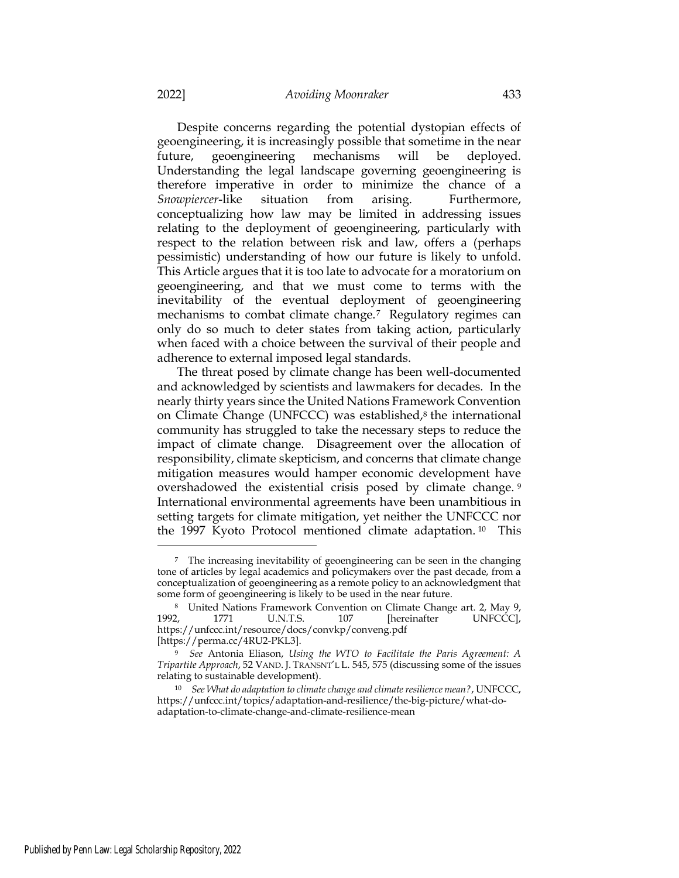Despite concerns regarding the potential dystopian effects of geoengineering, it is increasingly possible that sometime in the near future, geoengineering mechanisms will be deployed. Understanding the legal landscape governing geoengineering is therefore imperative in order to minimize the chance of a Snowpiercer-like situation from arising. Furthermore, conceptualizing how law may be limited in addressing issues relating to the deployment of geoengineering, particularly with respect to the relation between risk and law, offers a (perhaps pessimistic) understanding of how our future is likely to unfold. This Article argues that it is too late to advocate for a moratorium on geoengineering, and that we must come to terms with the inevitability of the eventual deployment of geoengineering mechanisms to combat climate change.7 Regulatory regimes can only do so much to deter states from taking action, particularly when faced with a choice between the survival of their people and adherence to external imposed legal standards.

The threat posed by climate change has been well-documented and acknowledged by scientists and lawmakers for decades. In the nearly thirty years since the United Nations Framework Convention on Climate Change (UNFCCC) was established,<sup>8</sup> the international community has struggled to take the necessary steps to reduce the impact of climate change. Disagreement over the allocation of responsibility, climate skepticism, and concerns that climate change mitigation measures would hamper economic development have overshadowed the existential crisis posed by climate change. <sup>9</sup> International environmental agreements have been unambitious in setting targets for climate mitigation, yet neither the UNFCCC nor the 1997 Kyoto Protocol mentioned climate adaptation. <sup>10</sup> This

<sup>7</sup> The increasing inevitability of geoengineering can be seen in the changing tone of articles by legal academics and policymakers over the past decade, from a conceptualization of geoengineering as a remote policy to an acknowledgment that some form of geoengineering is likely to be used in the near future.

<sup>8</sup> United Nations Framework Convention on Climate Change art. 2, May 9, 1992, 1771 U.N.T.S. 107 [hereinafter UNFCCC], https://unfccc.int/resource/docs/convkp/conveng.pdf [https://perma.cc/4RU2-PKL3].

<sup>9</sup> See Antonia Eliason, Using the WTO to Facilitate the Paris Agreement: A Tripartite Approach, 52 VAND. J. TRANSNT'L L. 545, 575 (discussing some of the issues relating to sustainable development).

<sup>10</sup> See What do adaptation to climate change and climate resilience mean?, UNFCCC, https://unfccc.int/topics/adaptation-and-resilience/the-big-picture/what-doadaptation-to-climate-change-and-climate-resilience-mean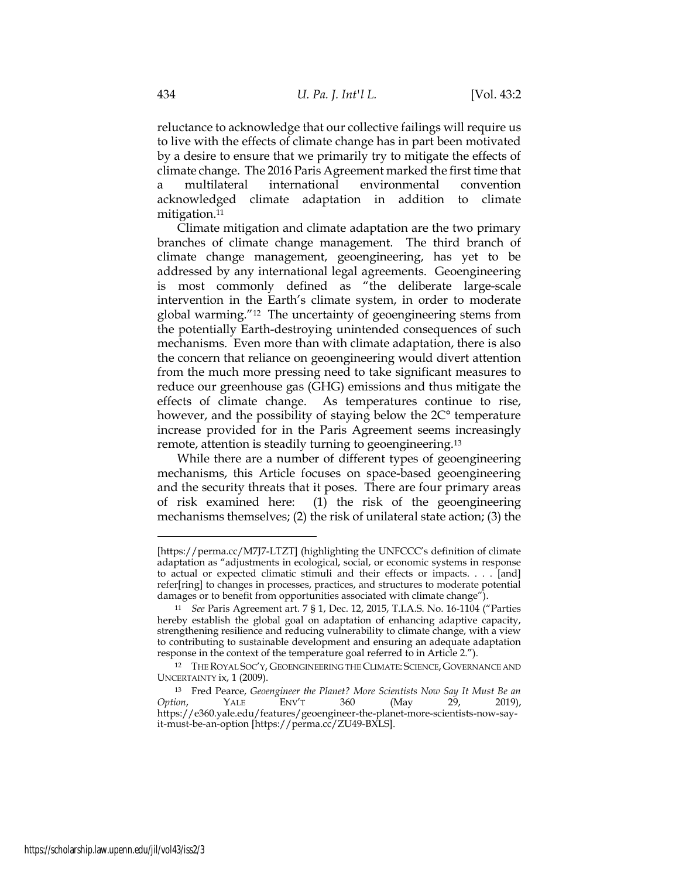reluctance to acknowledge that our collective failings will require us to live with the effects of climate change has in part been motivated by a desire to ensure that we primarily try to mitigate the effects of climate change. The 2016 Paris Agreement marked the first time that a multilateral international environmental convention acknowledged climate adaptation in addition to climate mitigation.<sup>11</sup>

Climate mitigation and climate adaptation are the two primary branches of climate change management. The third branch of climate change management, geoengineering, has yet to be addressed by any international legal agreements. Geoengineering is most commonly defined as "the deliberate large-scale intervention in the Earth's climate system, in order to moderate global warming."12 The uncertainty of geoengineering stems from the potentially Earth-destroying unintended consequences of such mechanisms. Even more than with climate adaptation, there is also the concern that reliance on geoengineering would divert attention from the much more pressing need to take significant measures to reduce our greenhouse gas (GHG) emissions and thus mitigate the effects of climate change. As temperatures continue to rise, however, and the possibility of staying below the 2C° temperature increase provided for in the Paris Agreement seems increasingly remote, attention is steadily turning to geoengineering.<sup>13</sup>

While there are a number of different types of geoengineering mechanisms, this Article focuses on space-based geoengineering and the security threats that it poses. There are four primary areas of risk examined here: (1) the risk of the geoengineering mechanisms themselves; (2) the risk of unilateral state action; (3) the

<sup>[</sup>https://perma.cc/M7J7-LTZT] (highlighting the UNFCCC's definition of climate adaptation as "adjustments in ecological, social, or economic systems in response to actual or expected climatic stimuli and their effects or impacts. . . . [and] refer[ring] to changes in processes, practices, and structures to moderate potential damages or to benefit from opportunities associated with climate change").

<sup>11</sup> See Paris Agreement art. 7 § 1, Dec. 12, 2015, T.I.A.S. No. 16-1104 ("Parties hereby establish the global goal on adaptation of enhancing adaptive capacity, strengthening resilience and reducing vulnerability to climate change, with a view to contributing to sustainable development and ensuring an adequate adaptation response in the context of the temperature goal referred to in Article 2.").

<sup>12</sup> THE ROYAL SOC'Y, GEOENGINEERING THE CLIMATE: SCIENCE, GOVERNANCE AND UNCERTAINTY ix, 1 (2009).

<sup>13</sup> Fred Pearce, Geoengineer the Planet? More Scientists Now Say It Must Be an Option, YALE ENV'T 360 (May 29, 2019), https://e360.yale.edu/features/geoengineer-the-planet-more-scientists-now-sayit-must-be-an-option [https://perma.cc/ZU49-BXLS].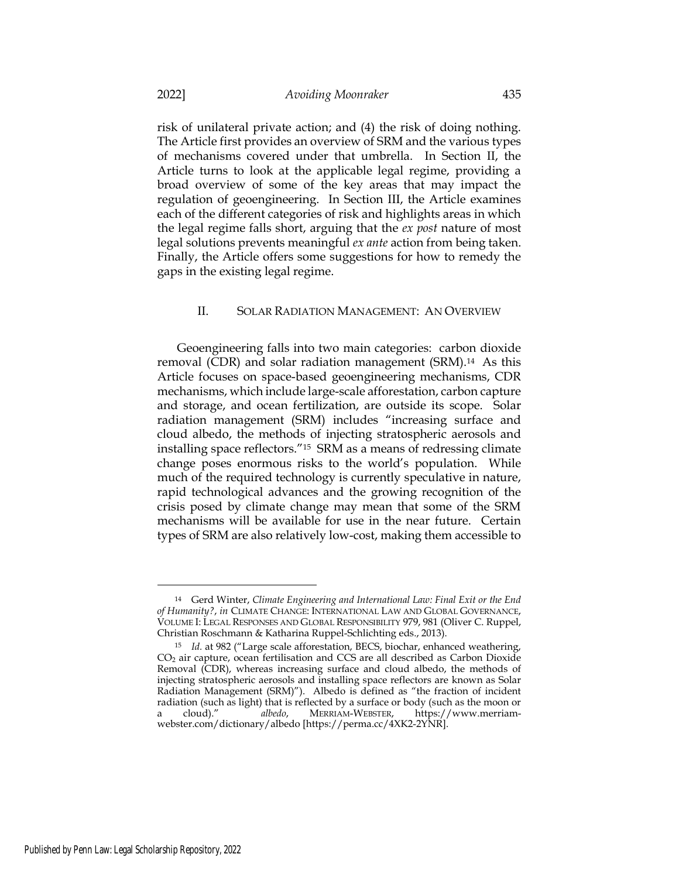risk of unilateral private action; and (4) the risk of doing nothing. The Article first provides an overview of SRM and the various types of mechanisms covered under that umbrella. In Section II, the Article turns to look at the applicable legal regime, providing a broad overview of some of the key areas that may impact the regulation of geoengineering. In Section III, the Article examines each of the different categories of risk and highlights areas in which the legal regime falls short, arguing that the ex post nature of most legal solutions prevents meaningful ex ante action from being taken. Finally, the Article offers some suggestions for how to remedy the gaps in the existing legal regime.

# II. SOLAR RADIATION MANAGEMENT: AN OVERVIEW

Geoengineering falls into two main categories: carbon dioxide removal (CDR) and solar radiation management (SRM).14 As this Article focuses on space-based geoengineering mechanisms, CDR mechanisms, which include large-scale afforestation, carbon capture and storage, and ocean fertilization, are outside its scope. Solar radiation management (SRM) includes "increasing surface and cloud albedo, the methods of injecting stratospheric aerosols and installing space reflectors."15 SRM as a means of redressing climate change poses enormous risks to the world's population. While much of the required technology is currently speculative in nature, rapid technological advances and the growing recognition of the crisis posed by climate change may mean that some of the SRM mechanisms will be available for use in the near future. Certain types of SRM are also relatively low-cost, making them accessible to

<sup>14</sup> Gerd Winter, Climate Engineering and International Law: Final Exit or the End of Humanity?, in CLIMATE CHANGE: INTERNATIONAL LAW AND GLOBAL GOVERNANCE, VOLUME I: LEGAL RESPONSES AND GLOBAL RESPONSIBILITY 979, 981 (Oliver C. Ruppel, Christian Roschmann & Katharina Ruppel-Schlichting eds., 2013).

<sup>&</sup>lt;sup>15</sup> Id. at 982 ("Large scale afforestation, BECS, biochar, enhanced weathering, CO2 air capture, ocean fertilisation and CCS are all described as Carbon Dioxide Removal (CDR), whereas increasing surface and cloud albedo, the methods of injecting stratospheric aerosols and installing space reflectors are known as Solar Radiation Management (SRM)"). Albedo is defined as "the fraction of incident radiation (such as light) that is reflected by a surface or body (such as the moon or a cloud)." albedo, MERRIAM-WEBSTER, https://www.merriamwebster.com/dictionary/albedo [https://perma.cc/4XK2-2YNR].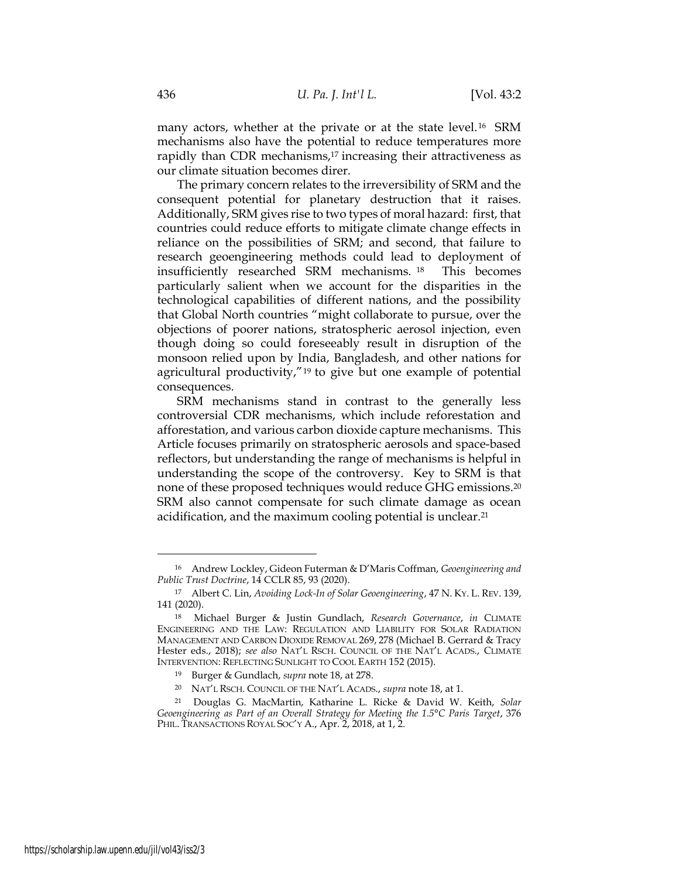many actors, whether at the private or at the state level.<sup>16</sup> SRM mechanisms also have the potential to reduce temperatures more rapidly than CDR mechanisms,<sup>17</sup> increasing their attractiveness as our climate situation becomes direr.

The primary concern relates to the irreversibility of SRM and the consequent potential for planetary destruction that it raises. Additionally, SRM gives rise to two types of moral hazard: first, that countries could reduce efforts to mitigate climate change effects in reliance on the possibilities of SRM; and second, that failure to research geoengineering methods could lead to deployment of insufficiently researched SRM mechanisms. <sup>18</sup> This becomes particularly salient when we account for the disparities in the technological capabilities of different nations, and the possibility that Global North countries "might collaborate to pursue, over the objections of poorer nations, stratospheric aerosol injection, even though doing so could foreseeably result in disruption of the monsoon relied upon by India, Bangladesh, and other nations for agricultural productivity,"19 to give but one example of potential consequences.

SRM mechanisms stand in contrast to the generally less controversial CDR mechanisms, which include reforestation and afforestation, and various carbon dioxide capture mechanisms. This Article focuses primarily on stratospheric aerosols and space-based reflectors, but understanding the range of mechanisms is helpful in understanding the scope of the controversy. Key to SRM is that none of these proposed techniques would reduce GHG emissions.<sup>20</sup> SRM also cannot compensate for such climate damage as ocean acidification, and the maximum cooling potential is unclear.<sup>21</sup>

<sup>16</sup> Andrew Lockley, Gideon Futerman & D'Maris Coffman, Geoengineering and Public Trust Doctrine, 14 CCLR 85, 93 (2020).

<sup>17</sup> Albert C. Lin, Avoiding Lock-In of Solar Geoengineering, 47 N. KY. L. REV. 139, 141 (2020).

<sup>18</sup> Michael Burger & Justin Gundlach, Research Governance, in CLIMATE ENGINEERING AND THE LAW: REGULATION AND LIABILITY FOR SOLAR RADIATION MANAGEMENT AND CARBON DIOXIDE REMOVAL 269, 278 (Michael B. Gerrard & Tracy Hester eds., 2018); see also NAT'L RSCH. COUNCIL OF THE NAT'L ACADS., CLIMATE INTERVENTION: REFLECTING SUNLIGHT TO COOL EARTH 152 (2015).

<sup>19</sup> Burger & Gundlach, supra note 18, at 278.

<sup>20</sup> NAT'L RSCH. COUNCIL OF THE NAT'L ACADS., supra note 18, at 1.

<sup>21</sup> Douglas G. MacMartin, Katharine L. Ricke & David W. Keith, Solar Geoengineering as Part of an Overall Strategy for Meeting the 1.5°C Paris Target, 376 PHIL. TRANSACTIONS ROYAL SOC'Y A., Apr. 2, 2018, at 1, 2.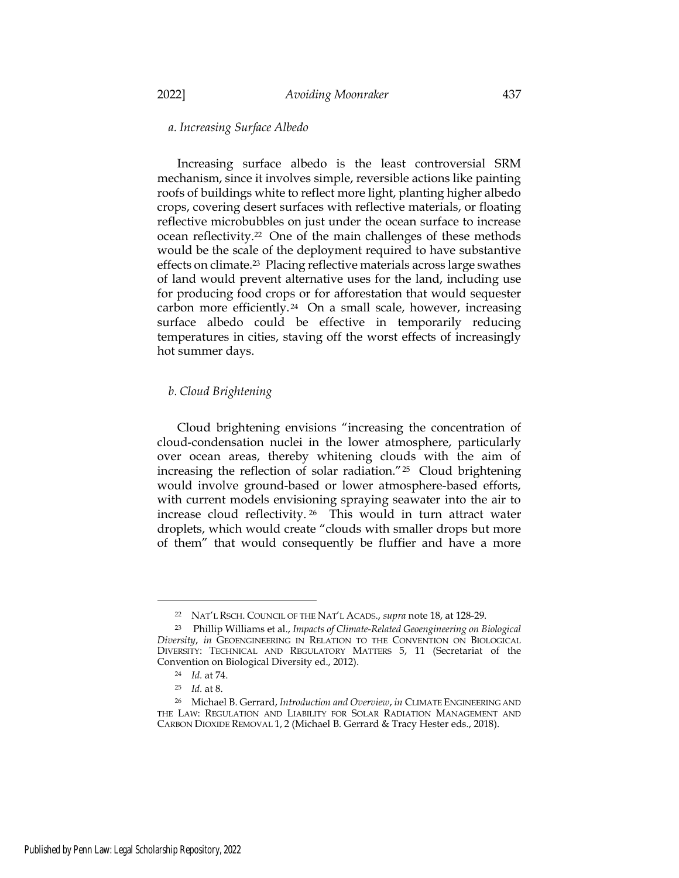# a. Increasing Surface Albedo

Increasing surface albedo is the least controversial SRM mechanism, since it involves simple, reversible actions like painting roofs of buildings white to reflect more light, planting higher albedo crops, covering desert surfaces with reflective materials, or floating reflective microbubbles on just under the ocean surface to increase ocean reflectivity.22 One of the main challenges of these methods would be the scale of the deployment required to have substantive effects on climate.23 Placing reflective materials across large swathes of land would prevent alternative uses for the land, including use for producing food crops or for afforestation that would sequester carbon more efficiently. <sup>24</sup> On a small scale, however, increasing surface albedo could be effective in temporarily reducing temperatures in cities, staving off the worst effects of increasingly hot summer days.

### b. Cloud Brightening

Cloud brightening envisions "increasing the concentration of cloud-condensation nuclei in the lower atmosphere, particularly over ocean areas, thereby whitening clouds with the aim of increasing the reflection of solar radiation."25 Cloud brightening would involve ground-based or lower atmosphere-based efforts, with current models envisioning spraying seawater into the air to increase cloud reflectivity. <sup>26</sup> This would in turn attract water droplets, which would create "clouds with smaller drops but more of them" that would consequently be fluffier and have a more

<sup>22</sup> NAT'L RSCH. COUNCIL OF THE NAT'L ACADS., supra note 18, at 128-29.

<sup>23</sup> Phillip Williams et al., Impacts of Climate-Related Geoengineering on Biological Diversity, in GEOENGINEERING IN RELATION TO THE CONVENTION ON BIOLOGICAL DIVERSITY: TECHNICAL AND REGULATORY MATTERS 5, 11 (Secretariat of the Convention on Biological Diversity ed., 2012).

<sup>24</sup> Id. at 74.

 $25$  *Id.* at 8.

<sup>&</sup>lt;sup>26</sup> Michael B. Gerrard, Introduction and Overview, in CLIMATE ENGINEERING AND THE LAW: REGULATION AND LIABILITY FOR SOLAR RADIATION MANAGEMENT AND CARBON DIOXIDE REMOVAL 1, 2 (Michael B. Gerrard & Tracy Hester eds., 2018).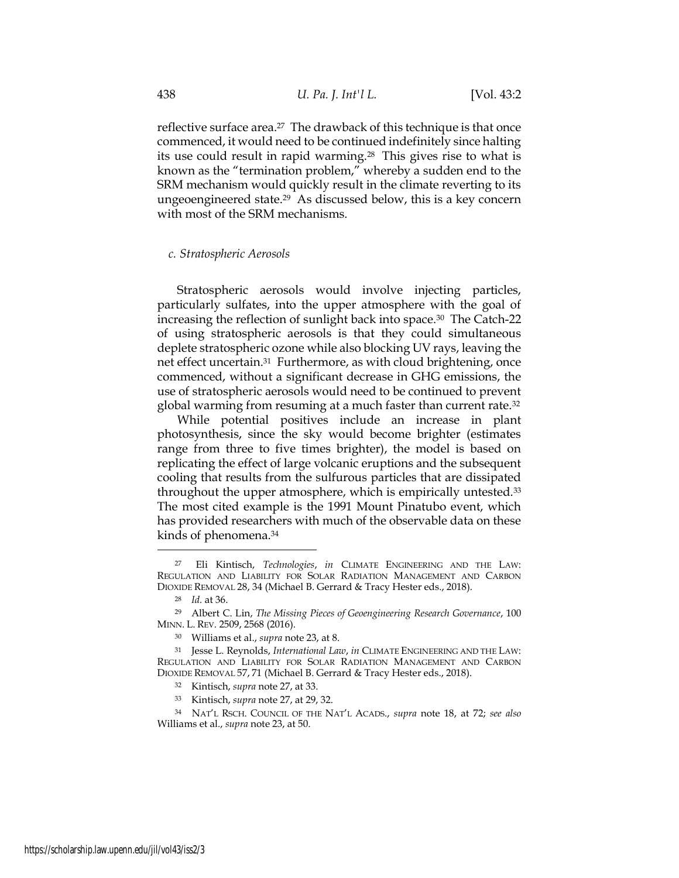reflective surface area.<sup>27</sup> The drawback of this technique is that once commenced, it would need to be continued indefinitely since halting its use could result in rapid warming.28 This gives rise to what is known as the "termination problem," whereby a sudden end to the SRM mechanism would quickly result in the climate reverting to its ungeoengineered state.29 As discussed below, this is a key concern with most of the SRM mechanisms.

#### c. Stratospheric Aerosols

Stratospheric aerosols would involve injecting particles, particularly sulfates, into the upper atmosphere with the goal of increasing the reflection of sunlight back into space.30 The Catch-22 of using stratospheric aerosols is that they could simultaneous deplete stratospheric ozone while also blocking UV rays, leaving the net effect uncertain.31 Furthermore, as with cloud brightening, once commenced, without a significant decrease in GHG emissions, the use of stratospheric aerosols would need to be continued to prevent global warming from resuming at a much faster than current rate.<sup>32</sup>

While potential positives include an increase in plant photosynthesis, since the sky would become brighter (estimates range from three to five times brighter), the model is based on replicating the effect of large volcanic eruptions and the subsequent cooling that results from the sulfurous particles that are dissipated throughout the upper atmosphere, which is empirically untested.<sup>33</sup> The most cited example is the 1991 Mount Pinatubo event, which has provided researchers with much of the observable data on these kinds of phenomena.<sup>34</sup>

<sup>27</sup> Eli Kintisch, Technologies, in CLIMATE ENGINEERING AND THE LAW: REGULATION AND LIABILITY FOR SOLAR RADIATION MANAGEMENT AND CARBON DIOXIDE REMOVAL 28, 34 (Michael B. Gerrard & Tracy Hester eds., 2018).

<sup>28</sup> Id. at 36.

<sup>&</sup>lt;sup>29</sup> Albert C. Lin, The Missing Pieces of Geoengineering Research Governance, 100 MINN. L. REV. 2509, 2568 (2016).

<sup>30</sup> Williams et al., supra note 23, at 8.

<sup>31</sup> Jesse L. Reynolds, International Law, in CLIMATE ENGINEERING AND THE LAW: REGULATION AND LIABILITY FOR SOLAR RADIATION MANAGEMENT AND CARBON DIOXIDE REMOVAL 57, 71 (Michael B. Gerrard & Tracy Hester eds., 2018).

<sup>&</sup>lt;sup>32</sup> Kintisch, supra note 27, at 33.

<sup>33</sup> Kintisch, supra note 27, at 29, 32.

<sup>34</sup> NAT'L RSCH. COUNCIL OF THE NAT'L ACADS., supra note 18, at 72; see also Williams et al., supra note 23, at 50.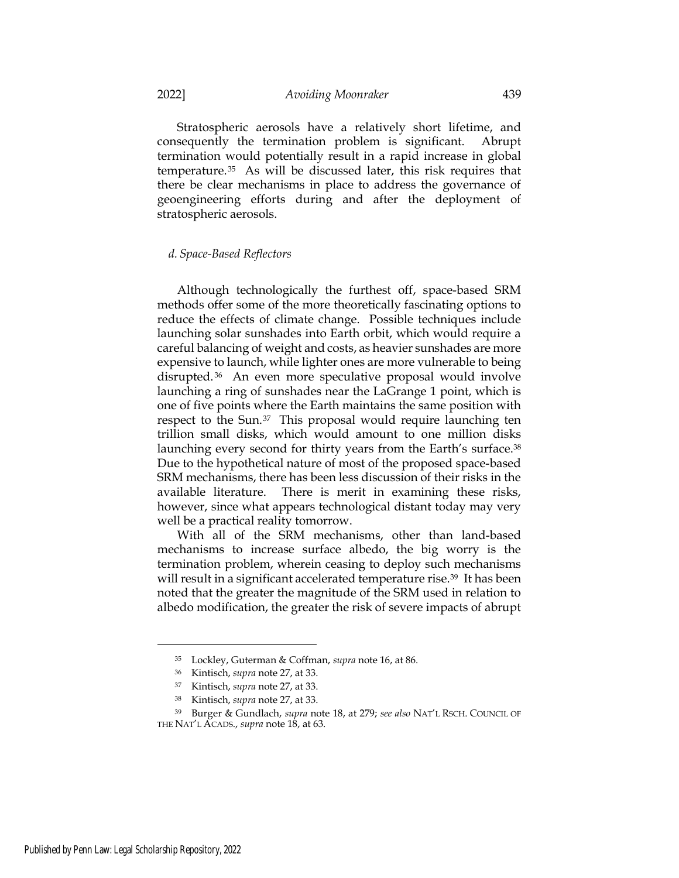Stratospheric aerosols have a relatively short lifetime, and consequently the termination problem is significant. Abrupt termination would potentially result in a rapid increase in global temperature.35 As will be discussed later, this risk requires that there be clear mechanisms in place to address the governance of geoengineering efforts during and after the deployment of stratospheric aerosols.

#### d. Space-Based Reflectors

Although technologically the furthest off, space-based SRM methods offer some of the more theoretically fascinating options to reduce the effects of climate change. Possible techniques include launching solar sunshades into Earth orbit, which would require a careful balancing of weight and costs, as heavier sunshades are more expensive to launch, while lighter ones are more vulnerable to being disrupted. <sup>36</sup> An even more speculative proposal would involve launching a ring of sunshades near the LaGrange 1 point, which is one of five points where the Earth maintains the same position with respect to the Sun.37 This proposal would require launching ten trillion small disks, which would amount to one million disks launching every second for thirty years from the Earth's surface.<sup>38</sup> Due to the hypothetical nature of most of the proposed space-based SRM mechanisms, there has been less discussion of their risks in the available literature. There is merit in examining these risks, however, since what appears technological distant today may very well be a practical reality tomorrow.

With all of the SRM mechanisms, other than land-based mechanisms to increase surface albedo, the big worry is the termination problem, wherein ceasing to deploy such mechanisms will result in a significant accelerated temperature rise.<sup>39</sup> It has been noted that the greater the magnitude of the SRM used in relation to albedo modification, the greater the risk of severe impacts of abrupt

<sup>35</sup> Lockley, Guterman & Coffman, supra note 16, at 86.

<sup>36</sup> Kintisch, supra note 27, at 33.

<sup>37</sup> Kintisch, supra note 27, at 33.

<sup>38</sup> Kintisch, supra note 27, at 33.

<sup>&</sup>lt;sup>39</sup> Burger & Gundlach, supra note 18, at 279; see also NAT'L RSCH. COUNCIL OF THE NAT'L ACADS., supra note 18, at 63.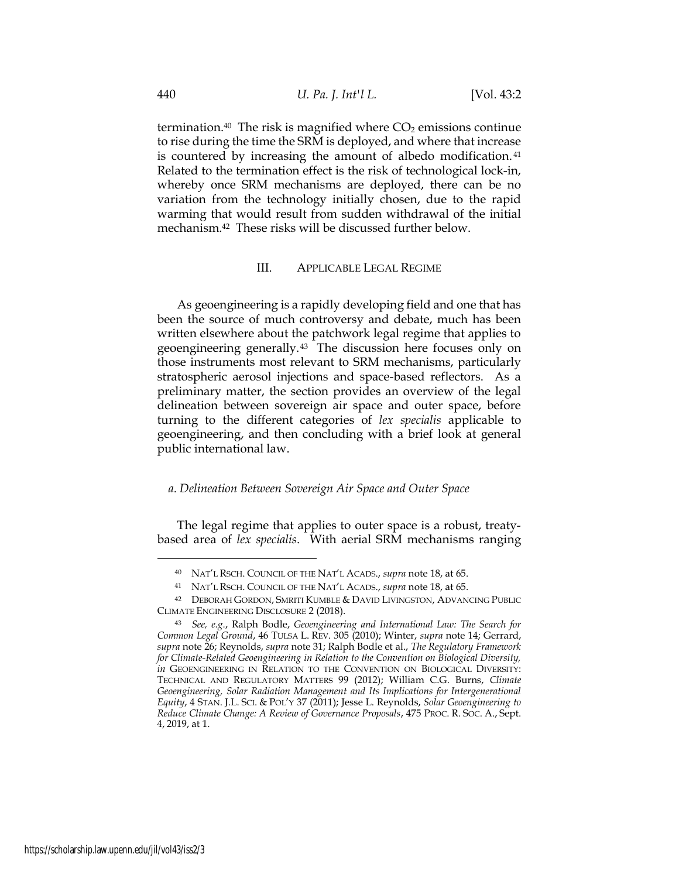termination.<sup>40</sup> The risk is magnified where  $CO<sub>2</sub>$  emissions continue to rise during the time the SRM is deployed, and where that increase is countered by increasing the amount of albedo modification. <sup>41</sup> Related to the termination effect is the risk of technological lock-in, whereby once SRM mechanisms are deployed, there can be no variation from the technology initially chosen, due to the rapid warming that would result from sudden withdrawal of the initial mechanism.42 These risks will be discussed further below.

# III. APPLICABLE LEGAL REGIME

As geoengineering is a rapidly developing field and one that has been the source of much controversy and debate, much has been written elsewhere about the patchwork legal regime that applies to geoengineering generally.43 The discussion here focuses only on those instruments most relevant to SRM mechanisms, particularly stratospheric aerosol injections and space-based reflectors. As a preliminary matter, the section provides an overview of the legal delineation between sovereign air space and outer space, before turning to the different categories of lex specialis applicable to geoengineering, and then concluding with a brief look at general public international law.

# a. Delineation Between Sovereign Air Space and Outer Space

The legal regime that applies to outer space is a robust, treatybased area of lex specialis. With aerial SRM mechanisms ranging

<sup>40</sup> NAT'L RSCH. COUNCIL OF THE NAT'L ACADS., supra note 18, at 65.

<sup>41</sup> NAT'L RSCH. COUNCIL OF THE NAT'L ACADS., supra note 18, at 65.

<sup>42</sup> DEBORAH GORDON, SMRITI KUMBLE & DAVID LIVINGSTON, ADVANCING PUBLIC CLIMATE ENGINEERING DISCLOSURE 2 (2018).

<sup>43</sup> See, e.g., Ralph Bodle, Geoengineering and International Law: The Search for Common Legal Ground, 46 TULSA L. REV. 305 (2010); Winter, supra note 14; Gerrard, supra note 26; Reynolds, supra note 31; Ralph Bodle et al., The Regulatory Framework for Climate-Related Geoengineering in Relation to the Convention on Biological Diversity, in GEOENGINEERING IN RELATION TO THE CONVENTION ON BIOLOGICAL DIVERSITY: TECHNICAL AND REGULATORY MATTERS 99 (2012); William C.G. Burns, Climate Geoengineering, Solar Radiation Management and Its Implications for Intergenerational Equity, 4 STAN. J.L. SCI. & POL'Y 37 (2011); Jesse L. Reynolds, Solar Geoengineering to Reduce Climate Change: A Review of Governance Proposals, 475 PROC. R. SOC. A., Sept. 4, 2019, at 1.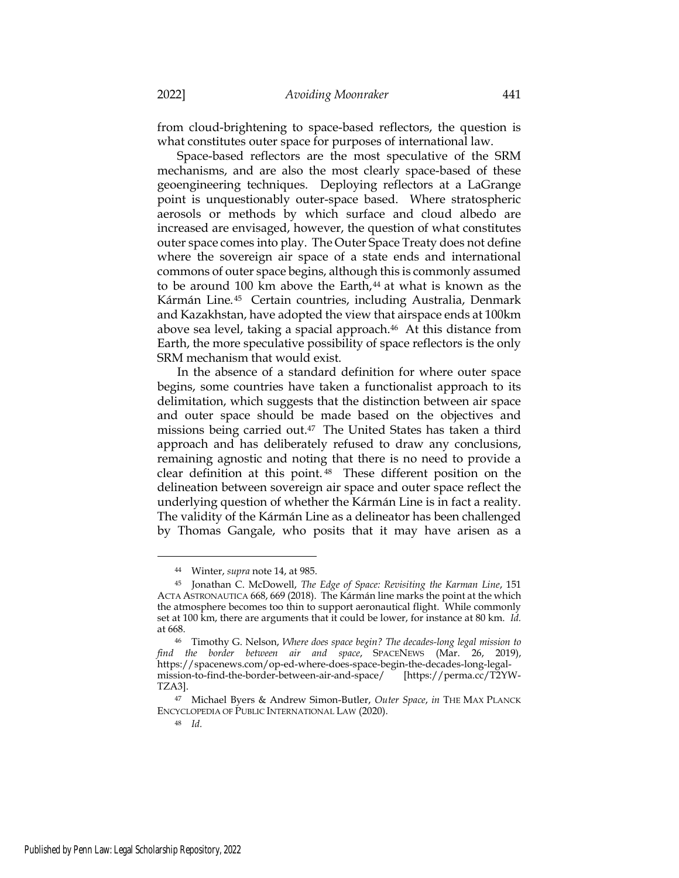from cloud-brightening to space-based reflectors, the question is what constitutes outer space for purposes of international law.

Space-based reflectors are the most speculative of the SRM mechanisms, and are also the most clearly space-based of these geoengineering techniques. Deploying reflectors at a LaGrange point is unquestionably outer-space based. Where stratospheric aerosols or methods by which surface and cloud albedo are increased are envisaged, however, the question of what constitutes outer space comes into play. The Outer Space Treaty does not define where the sovereign air space of a state ends and international commons of outer space begins, although this is commonly assumed to be around 100 km above the Earth,<sup>44</sup> at what is known as the Kármán Line.45 Certain countries, including Australia, Denmark and Kazakhstan, have adopted the view that airspace ends at 100km above sea level, taking a spacial approach.<sup>46</sup> At this distance from Earth, the more speculative possibility of space reflectors is the only SRM mechanism that would exist.

In the absence of a standard definition for where outer space begins, some countries have taken a functionalist approach to its delimitation, which suggests that the distinction between air space and outer space should be made based on the objectives and missions being carried out.47 The United States has taken a third approach and has deliberately refused to draw any conclusions, remaining agnostic and noting that there is no need to provide a clear definition at this point. <sup>48</sup> These different position on the delineation between sovereign air space and outer space reflect the underlying question of whether the Kármán Line is in fact a reality. The validity of the Kármán Line as a delineator has been challenged by Thomas Gangale, who posits that it may have arisen as a

<sup>44</sup> Winter, supra note 14, at 985.

<sup>45</sup> Jonathan C. McDowell, The Edge of Space: Revisiting the Karman Line, 151 ACTA ASTRONAUTICA 668, 669 (2018). The Kármán line marks the point at the which the atmosphere becomes too thin to support aeronautical flight. While commonly set at 100 km, there are arguments that it could be lower, for instance at 80 km. Id. at 668.

<sup>&</sup>lt;sup>46</sup> Timothy G. Nelson, Where does space begin? The decades-long legal mission to find the border between air and space, SPACENEWS (Mar. 26, 2019), https://spacenews.com/op-ed-where-does-space-begin-the-decades-long-legalmission-to-find-the-border-between-air-and-space/ [https://perma.cc/T2YW-TZA3].

<sup>47</sup> Michael Byers & Andrew Simon-Butler, Outer Space, in THE MAX PLANCK ENCYCLOPEDIA OF PUBLIC INTERNATIONAL LAW (2020).

<sup>48</sup> Id.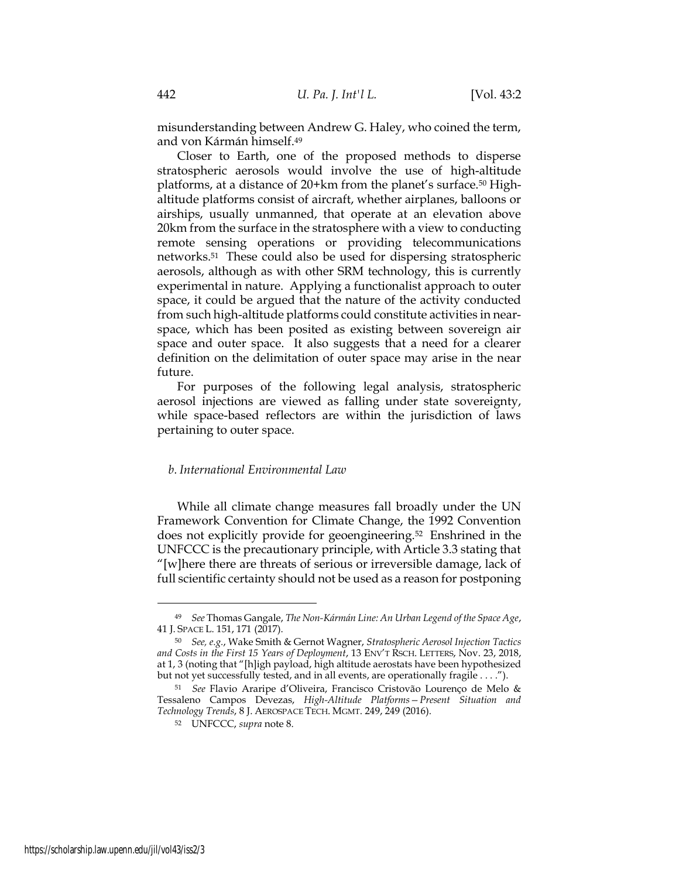misunderstanding between Andrew G. Haley, who coined the term, and von Kármán himself.<sup>49</sup>

Closer to Earth, one of the proposed methods to disperse stratospheric aerosols would involve the use of high-altitude platforms, at a distance of 20+km from the planet's surface.50 Highaltitude platforms consist of aircraft, whether airplanes, balloons or airships, usually unmanned, that operate at an elevation above 20km from the surface in the stratosphere with a view to conducting remote sensing operations or providing telecommunications networks.51 These could also be used for dispersing stratospheric aerosols, although as with other SRM technology, this is currently experimental in nature. Applying a functionalist approach to outer space, it could be argued that the nature of the activity conducted from such high-altitude platforms could constitute activities in nearspace, which has been posited as existing between sovereign air space and outer space. It also suggests that a need for a clearer definition on the delimitation of outer space may arise in the near future.

For purposes of the following legal analysis, stratospheric aerosol injections are viewed as falling under state sovereignty, while space-based reflectors are within the jurisdiction of laws pertaining to outer space.

# b. International Environmental Law

While all climate change measures fall broadly under the UN Framework Convention for Climate Change, the 1992 Convention does not explicitly provide for geoengineering.52 Enshrined in the UNFCCC is the precautionary principle, with Article 3.3 stating that "[w]here there are threats of serious or irreversible damage, lack of full scientific certainty should not be used as a reason for postponing

<sup>49</sup> See Thomas Gangale, The Non-Kármán Line: An Urban Legend of the Space Age, 41 J. SPACE L. 151, 171 (2017).

 $50$  See, e.g., Wake Smith & Gernot Wagner, Stratospheric Aerosol Injection Tactics and Costs in the First 15 Years of Deployment, 13 ENV'T RSCH. LETTERS, Nov. 23, 2018, at 1, 3 (noting that "[h]igh payload, high altitude aerostats have been hypothesized but not yet successfully tested, and in all events, are operationally fragile . . . .").

<sup>51</sup> See Flavio Araripe d'Oliveira, Francisco Cristovão Lourenço de Melo & Tessaleno Campos Devezas, High-Altitude Platforms—Present Situation and Technology Trends, 8 J. AEROSPACE TECH. MGMT. 249, 249 (2016).

<sup>52</sup> UNFCCC, supra note 8.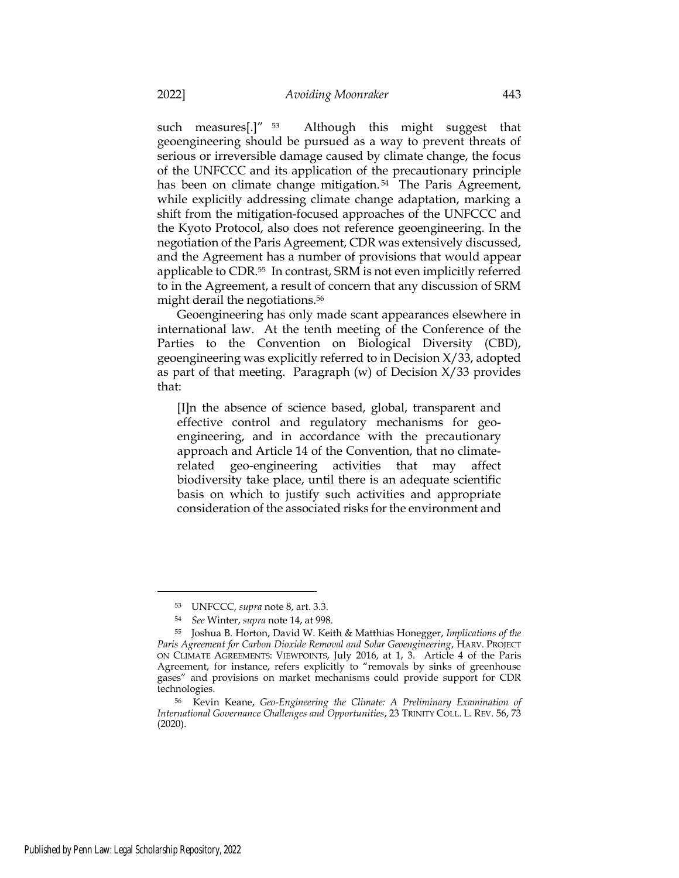such measures[.]" <sup>53</sup> Although this might suggest that geoengineering should be pursued as a way to prevent threats of serious or irreversible damage caused by climate change, the focus of the UNFCCC and its application of the precautionary principle has been on climate change mitigation.<sup>54</sup> The Paris Agreement, while explicitly addressing climate change adaptation, marking a shift from the mitigation-focused approaches of the UNFCCC and the Kyoto Protocol, also does not reference geoengineering. In the negotiation of the Paris Agreement, CDR was extensively discussed, and the Agreement has a number of provisions that would appear applicable to CDR.55 In contrast, SRM is not even implicitly referred to in the Agreement, a result of concern that any discussion of SRM might derail the negotiations.<sup>56</sup>

Geoengineering has only made scant appearances elsewhere in international law. At the tenth meeting of the Conference of the Parties to the Convention on Biological Diversity (CBD), geoengineering was explicitly referred to in Decision X/33, adopted as part of that meeting. Paragraph  $(w)$  of Decision  $X/33$  provides that:

[I]n the absence of science based, global, transparent and effective control and regulatory mechanisms for geoengineering, and in accordance with the precautionary approach and Article 14 of the Convention, that no climaterelated geo-engineering activities that may affect biodiversity take place, until there is an adequate scientific basis on which to justify such activities and appropriate consideration of the associated risks for the environment and

<sup>53</sup> UNFCCC, supra note 8, art. 3.3.

<sup>54</sup> See Winter, supra note 14, at 998.

<sup>55</sup> Joshua B. Horton, David W. Keith & Matthias Honegger, Implications of the Paris Agreement for Carbon Dioxide Removal and Solar Geoengineering, HARV. PROJECT ON CLIMATE AGREEMENTS: VIEWPOINTS, July 2016, at 1, 3. Article 4 of the Paris Agreement, for instance, refers explicitly to "removals by sinks of greenhouse gases" and provisions on market mechanisms could provide support for CDR technologies.

<sup>56</sup> Kevin Keane, Geo-Engineering the Climate: A Preliminary Examination of International Governance Challenges and Opportunities, 23 TRINITY COLL. L. REV. 56, 73 (2020).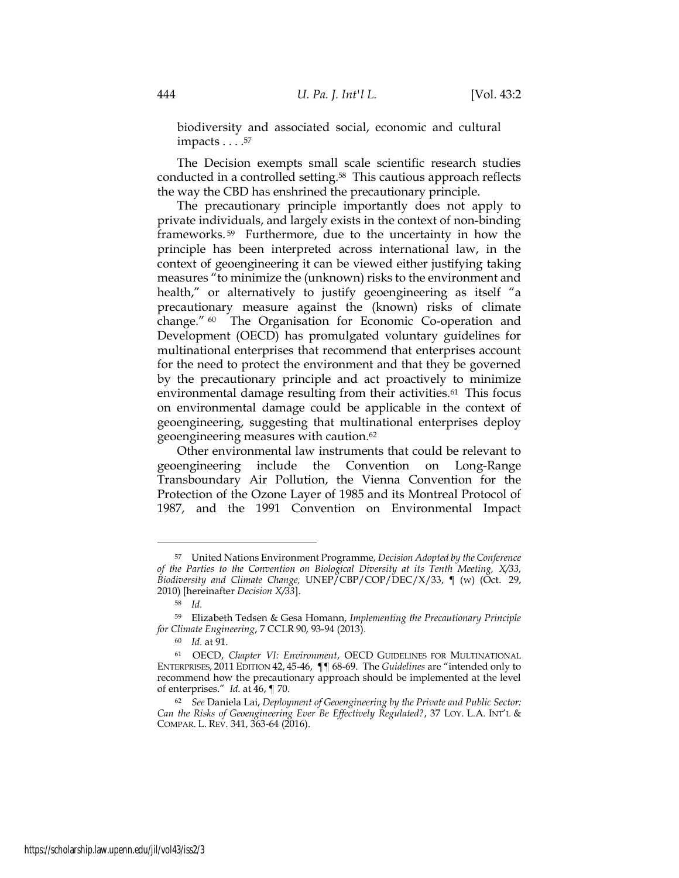biodiversity and associated social, economic and cultural impacts . . . . <sup>57</sup>

The Decision exempts small scale scientific research studies conducted in a controlled setting.<sup>58</sup> This cautious approach reflects the way the CBD has enshrined the precautionary principle.

The precautionary principle importantly does not apply to private individuals, and largely exists in the context of non-binding frameworks. <sup>59</sup> Furthermore, due to the uncertainty in how the principle has been interpreted across international law, in the context of geoengineering it can be viewed either justifying taking measures "to minimize the (unknown) risks to the environment and health," or alternatively to justify geoengineering as itself "a precautionary measure against the (known) risks of climate change." <sup>60</sup> The Organisation for Economic Co-operation and Development (OECD) has promulgated voluntary guidelines for multinational enterprises that recommend that enterprises account for the need to protect the environment and that they be governed by the precautionary principle and act proactively to minimize environmental damage resulting from their activities.<sup>61</sup> This focus on environmental damage could be applicable in the context of geoengineering, suggesting that multinational enterprises deploy geoengineering measures with caution.<sup>62</sup>

Other environmental law instruments that could be relevant to geoengineering include the Convention on Long-Range Transboundary Air Pollution, the Vienna Convention for the Protection of the Ozone Layer of 1985 and its Montreal Protocol of 1987, and the 1991 Convention on Environmental Impact

<sup>57</sup> United Nations Environment Programme, Decision Adopted by the Conference of the Parties to the Convention on Biological Diversity at its Tenth Meeting, X/33, Biodiversity and Climate Change,  $UNEP/CBP/COP/DEC/X/33$ ,  $\parallel$  (w) (Oct. 29, 2010) [hereinafter Decision X/33].

<sup>58</sup> Id.

<sup>59</sup> Elizabeth Tedsen & Gesa Homann, Implementing the Precautionary Principle for Climate Engineering, 7 CCLR 90, 93-94 (2013).

<sup>60</sup> Id. at 91.

<sup>61</sup> OECD, Chapter VI: Environment, OECD GUIDELINES FOR MULTINATIONAL ENTERPRISES, 2011 EDITION 42, 45-46, ¶¶ 68-69. The Guidelines are "intended only to recommend how the precautionary approach should be implemented at the level of enterprises." Id. at  $46$ ,  $\P$  70.

<sup>62</sup> See Daniela Lai, Deployment of Geoengineering by the Private and Public Sector: Can the Risks of Geoengineering Ever Be Effectively Regulated?, 37 LOY. L.A. INT'L & COMPAR. L. REV. 341, 363-64 (2016).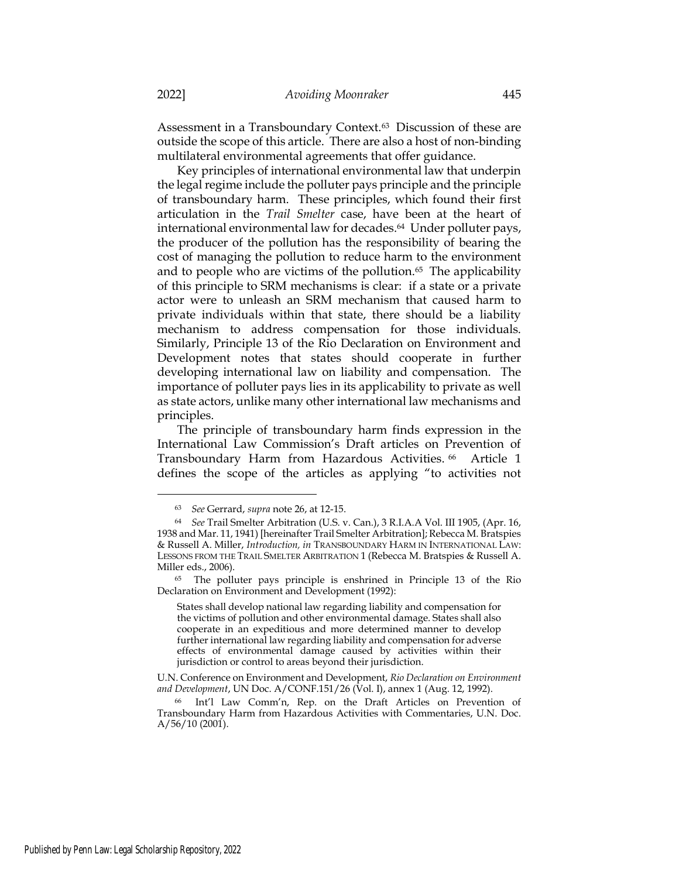Assessment in a Transboundary Context.63 Discussion of these are outside the scope of this article. There are also a host of non-binding multilateral environmental agreements that offer guidance.

Key principles of international environmental law that underpin the legal regime include the polluter pays principle and the principle of transboundary harm. These principles, which found their first articulation in the Trail Smelter case, have been at the heart of international environmental law for decades.64 Under polluter pays, the producer of the pollution has the responsibility of bearing the cost of managing the pollution to reduce harm to the environment and to people who are victims of the pollution.65 The applicability of this principle to SRM mechanisms is clear: if a state or a private actor were to unleash an SRM mechanism that caused harm to private individuals within that state, there should be a liability mechanism to address compensation for those individuals. Similarly, Principle 13 of the Rio Declaration on Environment and Development notes that states should cooperate in further developing international law on liability and compensation. The importance of polluter pays lies in its applicability to private as well as state actors, unlike many other international law mechanisms and principles.

The principle of transboundary harm finds expression in the International Law Commission's Draft articles on Prevention of Transboundary Harm from Hazardous Activities. <sup>66</sup> Article 1 defines the scope of the articles as applying "to activities not

<sup>63</sup> See Gerrard, supra note 26, at 12-15.

<sup>64</sup> See Trail Smelter Arbitration (U.S. v. Can.), 3 R.I.A.A Vol. III 1905, (Apr. 16, 1938 and Mar. 11, 1941) [hereinafter Trail Smelter Arbitration]; Rebecca M. Bratspies & Russell A. Miller, Introduction, in TRANSBOUNDARY HARM IN INTERNATIONAL LAW: LESSONS FROM THE TRAIL SMELTER ARBITRATION 1 (Rebecca M. Bratspies & Russell A. Miller eds., 2006).

<sup>65</sup> The polluter pays principle is enshrined in Principle 13 of the Rio Declaration on Environment and Development (1992):

States shall develop national law regarding liability and compensation for the victims of pollution and other environmental damage. States shall also cooperate in an expeditious and more determined manner to develop further international law regarding liability and compensation for adverse effects of environmental damage caused by activities within their jurisdiction or control to areas beyond their jurisdiction.

U.N. Conference on Environment and Development, Rio Declaration on Environment and Development, UN Doc. A/CONF.151/26 (Vol. I), annex 1 (Aug. 12, 1992).

<sup>66</sup> Int'l Law Comm'n, Rep. on the Draft Articles on Prevention of Transboundary Harm from Hazardous Activities with Commentaries, U.N. Doc.  $A/56/10(2001)$ .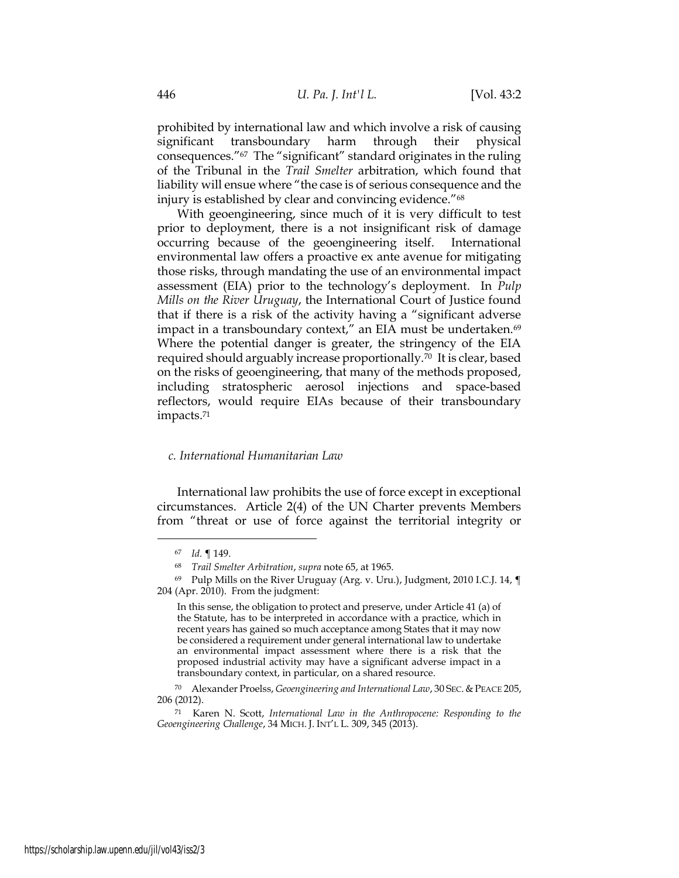prohibited by international law and which involve a risk of causing significant transboundary harm through their physical consequences."67 The "significant" standard originates in the ruling of the Tribunal in the Trail Smelter arbitration, which found that liability will ensue where "the case is of serious consequence and the injury is established by clear and convincing evidence."<sup>68</sup>

With geoengineering, since much of it is very difficult to test prior to deployment, there is a not insignificant risk of damage occurring because of the geoengineering itself. International environmental law offers a proactive ex ante avenue for mitigating those risks, through mandating the use of an environmental impact assessment (EIA) prior to the technology's deployment. In Pulp Mills on the River Uruguay, the International Court of Justice found that if there is a risk of the activity having a "significant adverse impact in a transboundary context," an EIA must be undertaken.<sup>69</sup> Where the potential danger is greater, the stringency of the EIA required should arguably increase proportionally.70 It is clear, based on the risks of geoengineering, that many of the methods proposed, including stratospheric aerosol injections and space-based reflectors, would require EIAs because of their transboundary impacts.<sup>71</sup>

# c. International Humanitarian Law

International law prohibits the use of force except in exceptional circumstances. Article 2(4) of the UN Charter prevents Members from "threat or use of force against the territorial integrity or

<sup>67</sup> Id. ¶ 149.

<sup>68</sup> Trail Smelter Arbitration, supra note 65, at 1965.

<sup>69</sup> Pulp Mills on the River Uruguay (Arg. v. Uru.), Judgment, 2010 I.C.J. 14, ¶ 204 (Apr. 2010). From the judgment:

In this sense, the obligation to protect and preserve, under Article 41 (a) of the Statute, has to be interpreted in accordance with a practice, which in recent years has gained so much acceptance among States that it may now be considered a requirement under general international law to undertake an environmental impact assessment where there is a risk that the proposed industrial activity may have a significant adverse impact in a transboundary context, in particular, on a shared resource.

<sup>70</sup> Alexander Proelss, Geoengineering and International Law, 30 SEC. & PEACE 205, 206 (2012).

<sup>71</sup> Karen N. Scott, International Law in the Anthropocene: Responding to the Geoengineering Challenge, 34 MICH. J. INT'L L. 309, 345 (2013).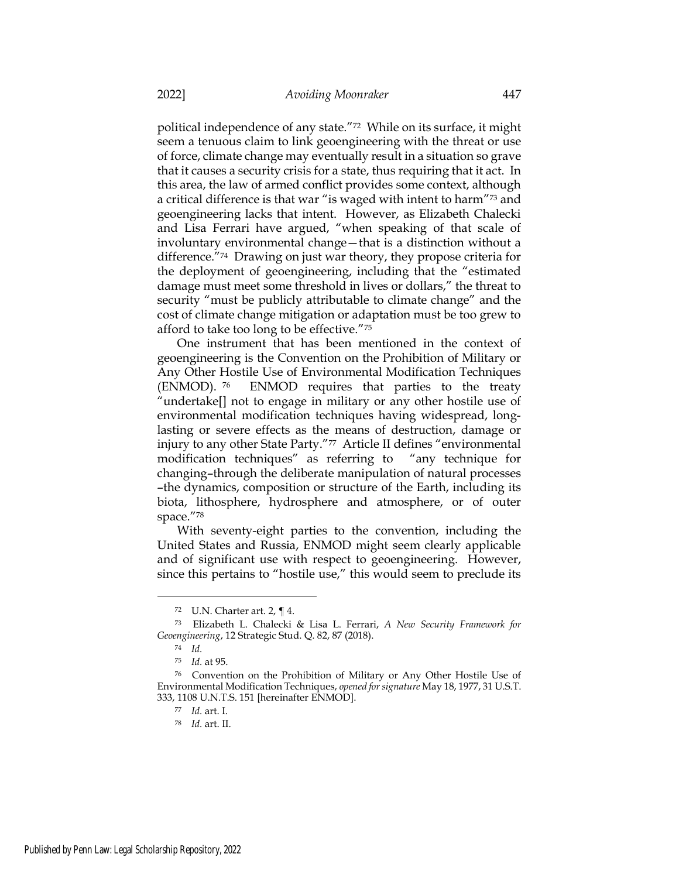political independence of any state."72 While on its surface, it might seem a tenuous claim to link geoengineering with the threat or use of force, climate change may eventually result in a situation so grave that it causes a security crisis for a state, thus requiring that it act. In this area, the law of armed conflict provides some context, although a critical difference is that war "is waged with intent to harm"73 and geoengineering lacks that intent. However, as Elizabeth Chalecki and Lisa Ferrari have argued, "when speaking of that scale of involuntary environmental change—that is a distinction without a difference."74 Drawing on just war theory, they propose criteria for the deployment of geoengineering, including that the "estimated damage must meet some threshold in lives or dollars," the threat to security "must be publicly attributable to climate change" and the cost of climate change mitigation or adaptation must be too grew to afford to take too long to be effective."<sup>75</sup>

One instrument that has been mentioned in the context of geoengineering is the Convention on the Prohibition of Military or Any Other Hostile Use of Environmental Modification Techniques (ENMOD). <sup>76</sup> ENMOD requires that parties to the treaty "undertake[] not to engage in military or any other hostile use of environmental modification techniques having widespread, longlasting or severe effects as the means of destruction, damage or injury to any other State Party."77 Article II defines "environmental modification techniques" as referring to "any technique for changing–through the deliberate manipulation of natural processes –the dynamics, composition or structure of the Earth, including its biota, lithosphere, hydrosphere and atmosphere, or of outer space."<sup>78</sup>

With seventy-eight parties to the convention, including the United States and Russia, ENMOD might seem clearly applicable and of significant use with respect to geoengineering. However, since this pertains to "hostile use," this would seem to preclude its

<sup>72</sup> U.N. Charter art. 2, ¶ 4.

<sup>73</sup> Elizabeth L. Chalecki & Lisa L. Ferrari, A New Security Framework for Geoengineering, 12 Strategic Stud. Q. 82, 87 (2018).

<sup>74</sup> Id.

<sup>75</sup> Id. at 95.

<sup>76</sup> Convention on the Prohibition of Military or Any Other Hostile Use of Environmental Modification Techniques, opened for signature May 18, 1977, 31 U.S.T. 333, 1108 U.N.T.S. 151 [hereinafter ENMOD].

<sup>77</sup> Id. art. I.

<sup>78</sup> Id. art. II.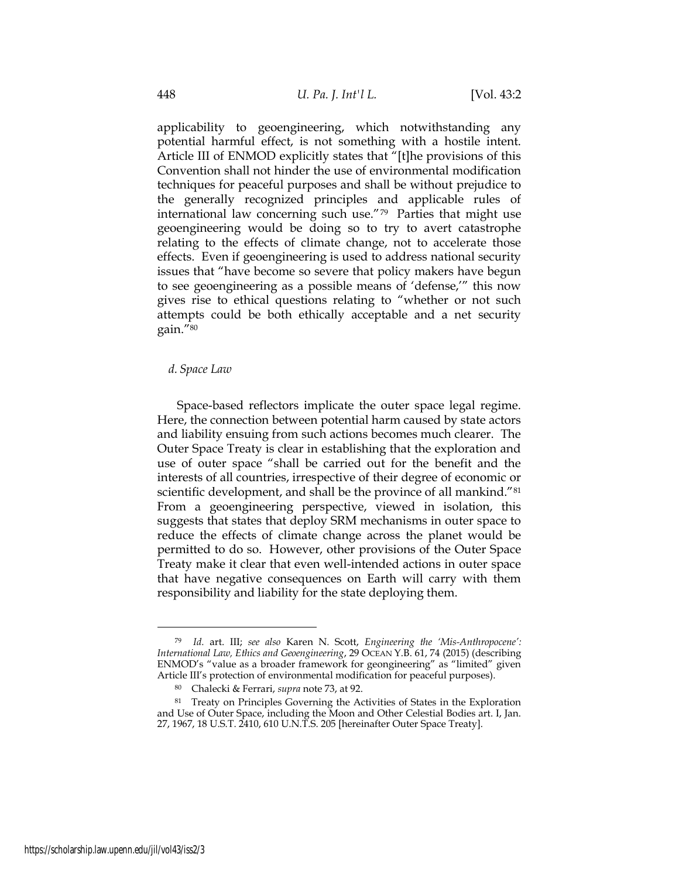applicability to geoengineering, which notwithstanding any potential harmful effect, is not something with a hostile intent. Article III of ENMOD explicitly states that "[t]he provisions of this Convention shall not hinder the use of environmental modification techniques for peaceful purposes and shall be without prejudice to the generally recognized principles and applicable rules of international law concerning such use."79 Parties that might use geoengineering would be doing so to try to avert catastrophe relating to the effects of climate change, not to accelerate those effects. Even if geoengineering is used to address national security issues that "have become so severe that policy makers have begun to see geoengineering as a possible means of 'defense,'" this now gives rise to ethical questions relating to "whether or not such attempts could be both ethically acceptable and a net security gain."<sup>80</sup>

#### d. Space Law

Space-based reflectors implicate the outer space legal regime. Here, the connection between potential harm caused by state actors and liability ensuing from such actions becomes much clearer. The Outer Space Treaty is clear in establishing that the exploration and use of outer space "shall be carried out for the benefit and the interests of all countries, irrespective of their degree of economic or scientific development, and shall be the province of all mankind."<sup>81</sup> From a geoengineering perspective, viewed in isolation, this suggests that states that deploy SRM mechanisms in outer space to reduce the effects of climate change across the planet would be permitted to do so. However, other provisions of the Outer Space Treaty make it clear that even well-intended actions in outer space that have negative consequences on Earth will carry with them responsibility and liability for the state deploying them.

<sup>79</sup> Id. art. III; see also Karen N. Scott, Engineering the 'Mis-Anthropocene': International Law, Ethics and Geoengineering, 29 OCEAN Y.B. 61, 74 (2015) (describing ENMOD's "value as a broader framework for geongineering" as "limited" given Article III's protection of environmental modification for peaceful purposes).

<sup>80</sup> Chalecki & Ferrari, supra note 73, at 92.

<sup>81</sup> Treaty on Principles Governing the Activities of States in the Exploration and Use of Outer Space, including the Moon and Other Celestial Bodies art. I, Jan. 27, 1967, 18 U.S.T. 2410, 610 U.N.T.S. 205 [hereinafter Outer Space Treaty].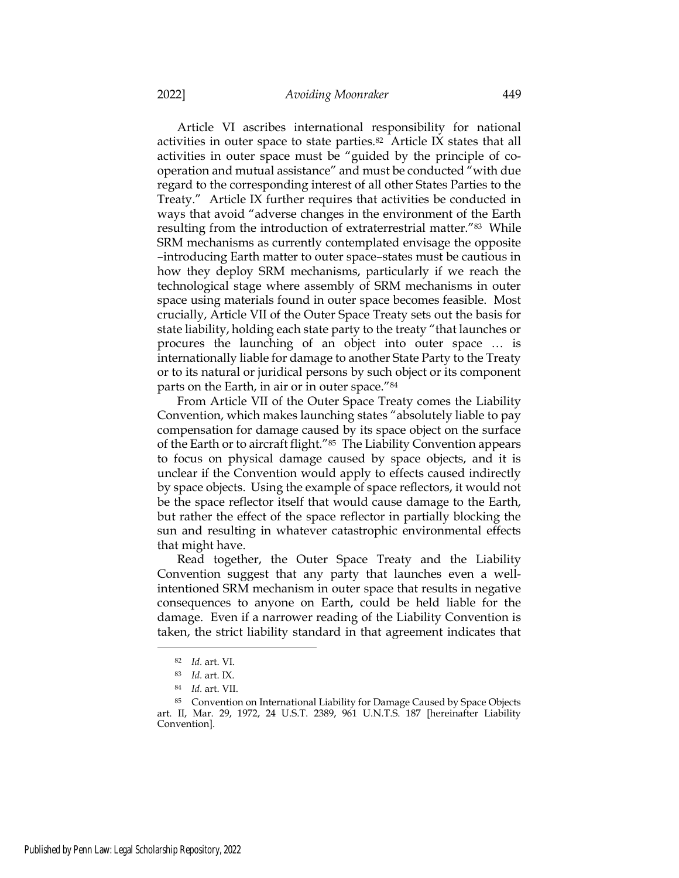Article VI ascribes international responsibility for national activities in outer space to state parties.82 Article IX states that all activities in outer space must be "guided by the principle of cooperation and mutual assistance" and must be conducted "with due regard to the corresponding interest of all other States Parties to the Treaty." Article IX further requires that activities be conducted in ways that avoid "adverse changes in the environment of the Earth resulting from the introduction of extraterrestrial matter."<sup>83</sup> While SRM mechanisms as currently contemplated envisage the opposite –introducing Earth matter to outer space–states must be cautious in how they deploy SRM mechanisms, particularly if we reach the technological stage where assembly of SRM mechanisms in outer space using materials found in outer space becomes feasible. Most crucially, Article VII of the Outer Space Treaty sets out the basis for state liability, holding each state party to the treaty "that launches or procures the launching of an object into outer space … is internationally liable for damage to another State Party to the Treaty or to its natural or juridical persons by such object or its component parts on the Earth, in air or in outer space."<sup>84</sup>

From Article VII of the Outer Space Treaty comes the Liability Convention, which makes launching states "absolutely liable to pay compensation for damage caused by its space object on the surface of the Earth or to aircraft flight."85 The Liability Convention appears to focus on physical damage caused by space objects, and it is unclear if the Convention would apply to effects caused indirectly by space objects. Using the example of space reflectors, it would not be the space reflector itself that would cause damage to the Earth, but rather the effect of the space reflector in partially blocking the sun and resulting in whatever catastrophic environmental effects that might have.

Read together, the Outer Space Treaty and the Liability Convention suggest that any party that launches even a wellintentioned SRM mechanism in outer space that results in negative consequences to anyone on Earth, could be held liable for the damage. Even if a narrower reading of the Liability Convention is taken, the strict liability standard in that agreement indicates that

<sup>82</sup> Id. art. VI.

<sup>83</sup> Id. art. IX.

<sup>84</sup> Id. art. VII.

<sup>85</sup> Convention on International Liability for Damage Caused by Space Objects art. II, Mar. 29, 1972, 24 U.S.T. 2389, 961 U.N.T.S. 187 [hereinafter Liability Convention].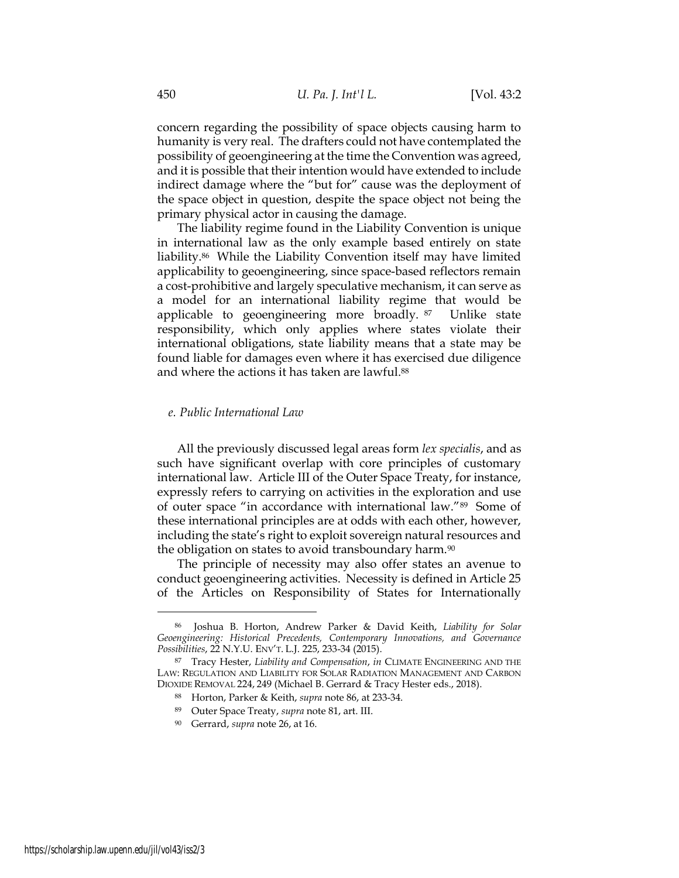concern regarding the possibility of space objects causing harm to humanity is very real. The drafters could not have contemplated the possibility of geoengineering at the time the Convention was agreed, and it is possible that their intention would have extended to include indirect damage where the "but for" cause was the deployment of the space object in question, despite the space object not being the primary physical actor in causing the damage.

The liability regime found in the Liability Convention is unique in international law as the only example based entirely on state liability.86 While the Liability Convention itself may have limited applicability to geoengineering, since space-based reflectors remain a cost-prohibitive and largely speculative mechanism, it can serve as a model for an international liability regime that would be applicable to geoengineering more broadly. <sup>87</sup> Unlike state responsibility, which only applies where states violate their international obligations, state liability means that a state may be found liable for damages even where it has exercised due diligence and where the actions it has taken are lawful.<sup>88</sup>

#### e. Public International Law

All the previously discussed legal areas form lex specialis, and as such have significant overlap with core principles of customary international law. Article III of the Outer Space Treaty, for instance, expressly refers to carrying on activities in the exploration and use of outer space "in accordance with international law."89 Some of these international principles are at odds with each other, however, including the state's right to exploit sovereign natural resources and the obligation on states to avoid transboundary harm.<sup>90</sup>

The principle of necessity may also offer states an avenue to conduct geoengineering activities. Necessity is defined in Article 25 of the Articles on Responsibility of States for Internationally

Joshua B. Horton, Andrew Parker & David Keith, Liability for Solar Geoengineering: Historical Precedents, Contemporary Innovations, and Governance Possibilities, 22 N.Y.U. ENV'T. L.J. 225, 233-34 (2015).

<sup>87</sup> Tracy Hester, Liability and Compensation, in CLIMATE ENGINEERING AND THE LAW: REGULATION AND LIABILITY FOR SOLAR RADIATION MANAGEMENT AND CARBON DIOXIDE REMOVAL 224, 249 (Michael B. Gerrard & Tracy Hester eds., 2018).

<sup>88</sup> Horton, Parker & Keith, supra note 86, at 233-34.

<sup>89</sup> Outer Space Treaty, supra note 81, art. III.

<sup>90</sup> Gerrard, supra note 26, at 16.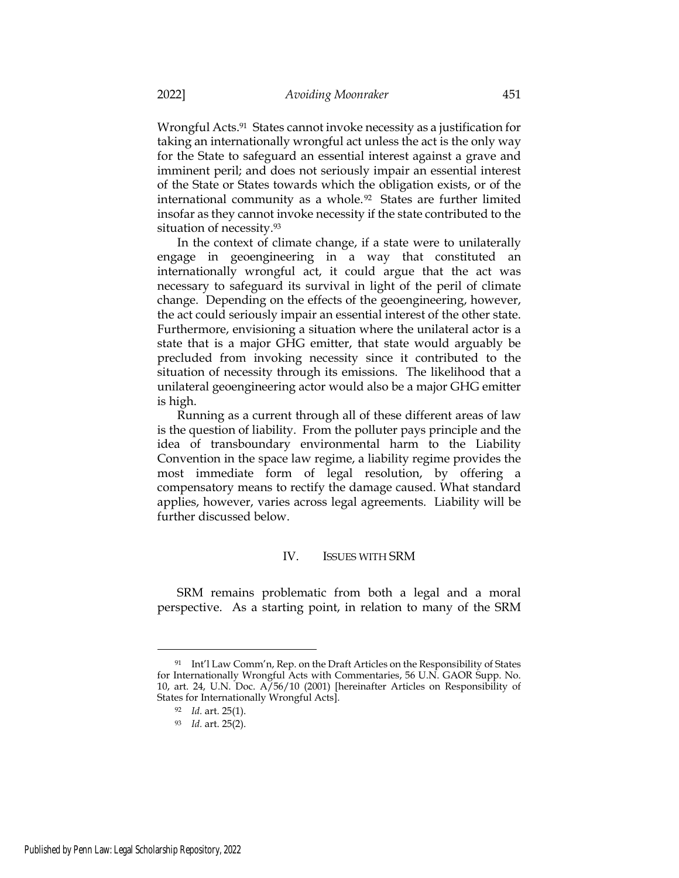Wrongful Acts.<sup>91</sup> States cannot invoke necessity as a justification for taking an internationally wrongful act unless the act is the only way for the State to safeguard an essential interest against a grave and imminent peril; and does not seriously impair an essential interest of the State or States towards which the obligation exists, or of the international community as a whole.<sup>92</sup> States are further limited insofar as they cannot invoke necessity if the state contributed to the situation of necessity.<sup>93</sup>

In the context of climate change, if a state were to unilaterally engage in geoengineering in a way that constituted an internationally wrongful act, it could argue that the act was necessary to safeguard its survival in light of the peril of climate change. Depending on the effects of the geoengineering, however, the act could seriously impair an essential interest of the other state. Furthermore, envisioning a situation where the unilateral actor is a state that is a major GHG emitter, that state would arguably be precluded from invoking necessity since it contributed to the situation of necessity through its emissions. The likelihood that a unilateral geoengineering actor would also be a major GHG emitter is high.

Running as a current through all of these different areas of law is the question of liability. From the polluter pays principle and the idea of transboundary environmental harm to the Liability Convention in the space law regime, a liability regime provides the most immediate form of legal resolution, by offering a compensatory means to rectify the damage caused. What standard applies, however, varies across legal agreements. Liability will be further discussed below.

# IV. ISSUES WITH SRM

SRM remains problematic from both a legal and a moral perspective. As a starting point, in relation to many of the SRM

<sup>91</sup> Int'l Law Comm'n, Rep. on the Draft Articles on the Responsibility of States for Internationally Wrongful Acts with Commentaries, 56 U.N. GAOR Supp. No. 10, art. 24, U.N. Doc. A/56/10 (2001) [hereinafter Articles on Responsibility of States for Internationally Wrongful Acts].

<sup>92</sup> Id. art. 25(1).

<sup>93</sup> Id. art. 25(2).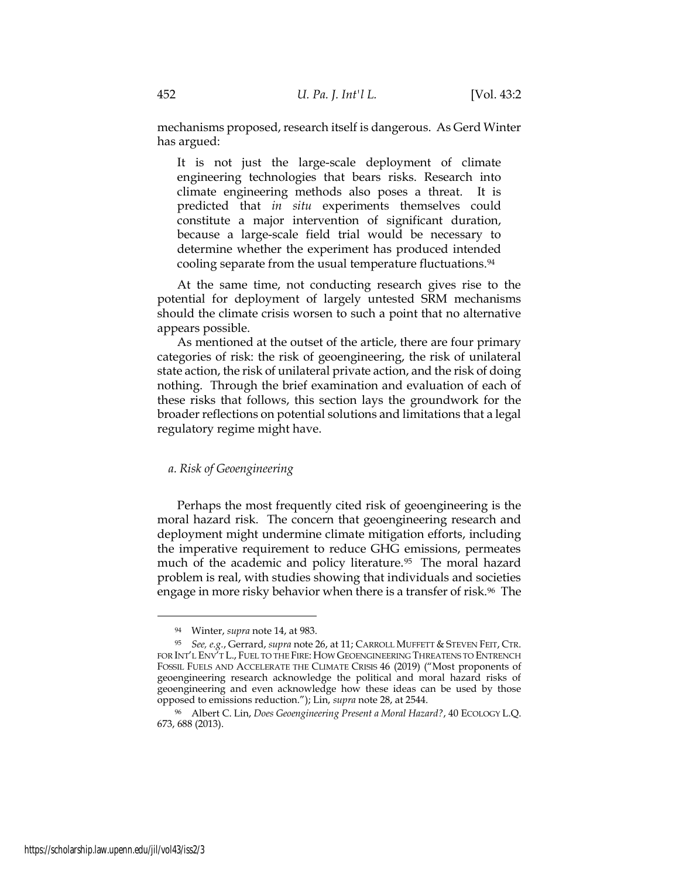mechanisms proposed, research itself is dangerous. As Gerd Winter has argued:

It is not just the large-scale deployment of climate engineering technologies that bears risks. Research into climate engineering methods also poses a threat. It is predicted that in situ experiments themselves could constitute a major intervention of significant duration, because a large-scale field trial would be necessary to determine whether the experiment has produced intended cooling separate from the usual temperature fluctuations.<sup>94</sup>

At the same time, not conducting research gives rise to the potential for deployment of largely untested SRM mechanisms should the climate crisis worsen to such a point that no alternative appears possible.

As mentioned at the outset of the article, there are four primary categories of risk: the risk of geoengineering, the risk of unilateral state action, the risk of unilateral private action, and the risk of doing nothing. Through the brief examination and evaluation of each of these risks that follows, this section lays the groundwork for the broader reflections on potential solutions and limitations that a legal regulatory regime might have.

# a. Risk of Geoengineering

Perhaps the most frequently cited risk of geoengineering is the moral hazard risk. The concern that geoengineering research and deployment might undermine climate mitigation efforts, including the imperative requirement to reduce GHG emissions, permeates much of the academic and policy literature.<sup>95</sup> The moral hazard problem is real, with studies showing that individuals and societies engage in more risky behavior when there is a transfer of risk.<sup>96</sup> The

<sup>94</sup> Winter, supra note 14, at 983.

<sup>95</sup> See, e.g., Gerrard, supra note 26, at 11; CARROLL MUFFETT & STEVEN FEIT, CTR. FOR INT'L ENV'T L., FUEL TO THE FIRE: HOW GEOENGINEERING THREATENS TO ENTRENCH FOSSIL FUELS AND ACCELERATE THE CLIMATE CRISIS 46 (2019) ("Most proponents of geoengineering research acknowledge the political and moral hazard risks of geoengineering and even acknowledge how these ideas can be used by those opposed to emissions reduction."); Lin, supra note 28, at 2544.

<sup>96</sup> Albert C. Lin, Does Geoengineering Present a Moral Hazard?, 40 ECOLOGY L.Q. 673, 688 (2013).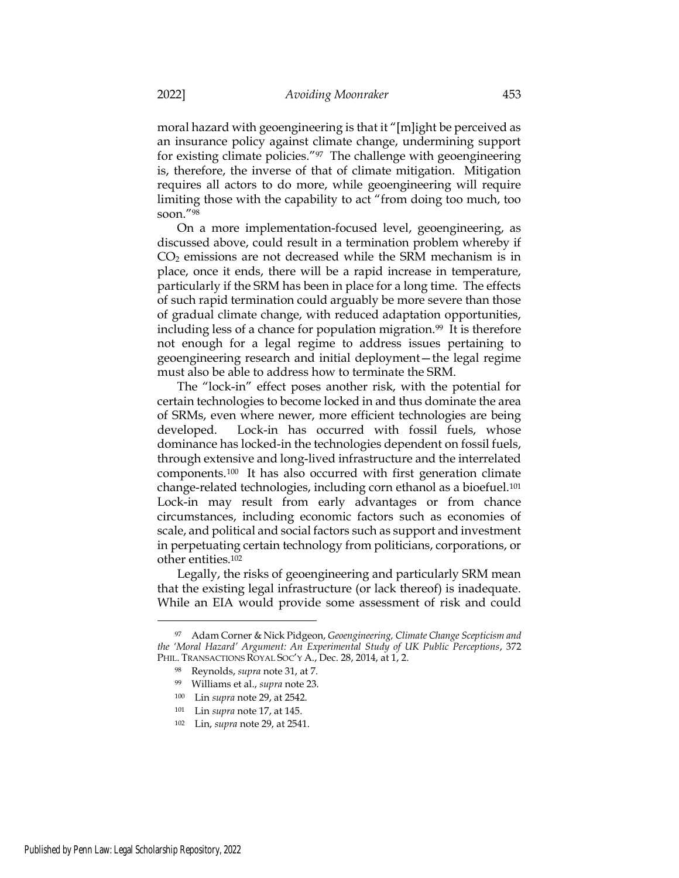moral hazard with geoengineering is that it "[m]ight be perceived as an insurance policy against climate change, undermining support for existing climate policies."97 The challenge with geoengineering is, therefore, the inverse of that of climate mitigation. Mitigation requires all actors to do more, while geoengineering will require limiting those with the capability to act "from doing too much, too soon."<sup>98</sup>

On a more implementation-focused level, geoengineering, as discussed above, could result in a termination problem whereby if CO2 emissions are not decreased while the SRM mechanism is in place, once it ends, there will be a rapid increase in temperature, particularly if the SRM has been in place for a long time. The effects of such rapid termination could arguably be more severe than those of gradual climate change, with reduced adaptation opportunities, including less of a chance for population migration.<sup>99</sup> It is therefore not enough for a legal regime to address issues pertaining to geoengineering research and initial deployment—the legal regime must also be able to address how to terminate the SRM.

The "lock-in" effect poses another risk, with the potential for certain technologies to become locked in and thus dominate the area of SRMs, even where newer, more efficient technologies are being developed. Lock-in has occurred with fossil fuels, whose dominance has locked-in the technologies dependent on fossil fuels, through extensive and long-lived infrastructure and the interrelated components.100 It has also occurred with first generation climate change-related technologies, including corn ethanol as a bioefuel.<sup>101</sup> Lock-in may result from early advantages or from chance circumstances, including economic factors such as economies of scale, and political and social factors such as support and investment in perpetuating certain technology from politicians, corporations, or other entities.<sup>102</sup>

Legally, the risks of geoengineering and particularly SRM mean that the existing legal infrastructure (or lack thereof) is inadequate. While an EIA would provide some assessment of risk and could

<sup>97</sup> Adam Corner & Nick Pidgeon, Geoengineering, Climate Change Scepticism and the 'Moral Hazard' Argument: An Experimental Study of UK Public Perceptions, 372 PHIL. TRANSACTIONS ROYAL SOC'Y A., Dec. 28, 2014, at 1, 2.

<sup>98</sup> Reynolds, supra note 31, at 7.

<sup>99</sup> Williams et al., supra note 23.

<sup>100</sup> Lin supra note 29, at 2542.

<sup>101</sup> Lin supra note 17, at 145.

<sup>102</sup> Lin, supra note 29, at 2541.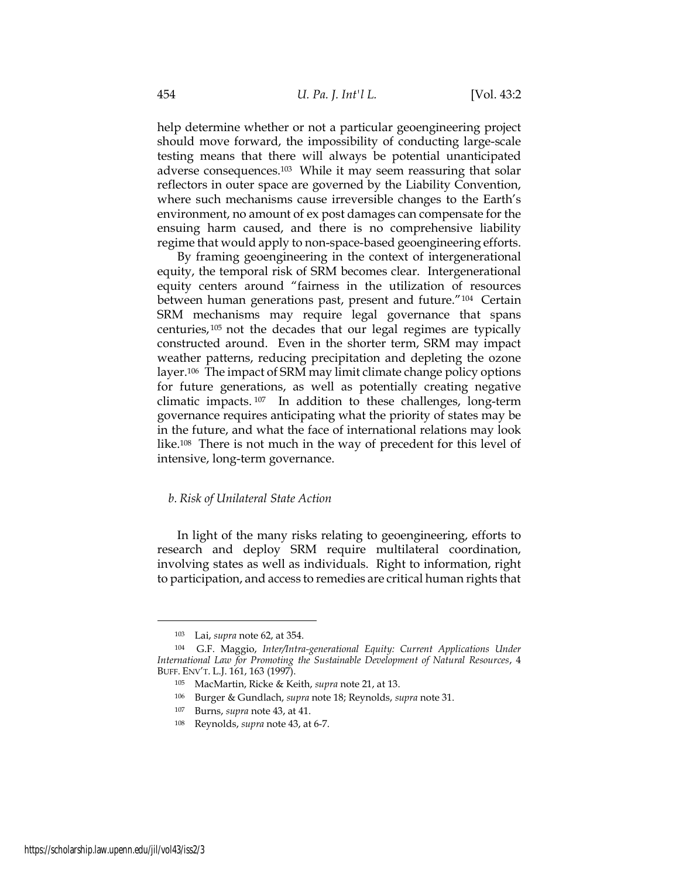help determine whether or not a particular geoengineering project should move forward, the impossibility of conducting large-scale testing means that there will always be potential unanticipated adverse consequences.103 While it may seem reassuring that solar reflectors in outer space are governed by the Liability Convention, where such mechanisms cause irreversible changes to the Earth's environment, no amount of ex post damages can compensate for the ensuing harm caused, and there is no comprehensive liability regime that would apply to non-space-based geoengineering efforts.

By framing geoengineering in the context of intergenerational equity, the temporal risk of SRM becomes clear. Intergenerational equity centers around "fairness in the utilization of resources between human generations past, present and future."104 Certain SRM mechanisms may require legal governance that spans centuries, <sup>105</sup> not the decades that our legal regimes are typically constructed around. Even in the shorter term, SRM may impact weather patterns, reducing precipitation and depleting the ozone layer.106 The impact of SRM may limit climate change policy options for future generations, as well as potentially creating negative climatic impacts. <sup>107</sup> In addition to these challenges, long-term governance requires anticipating what the priority of states may be in the future, and what the face of international relations may look like.108 There is not much in the way of precedent for this level of intensive, long-term governance.

### b. Risk of Unilateral State Action

In light of the many risks relating to geoengineering, efforts to research and deploy SRM require multilateral coordination, involving states as well as individuals. Right to information, right to participation, and access to remedies are critical human rights that

<sup>103</sup> Lai, supra note 62, at 354.

<sup>104</sup> G.F. Maggio, Inter/Intra-generational Equity: Current Applications Under International Law for Promoting the Sustainable Development of Natural Resources, 4 BUFF. ENV'T. L.J. 161, 163 (1997).

<sup>105</sup> MacMartin, Ricke & Keith, supra note 21, at 13.

<sup>106</sup> Burger & Gundlach, supra note 18; Reynolds, supra note 31.

<sup>107</sup> Burns, supra note 43, at 41.

<sup>108</sup> Reynolds, supra note 43, at 6-7.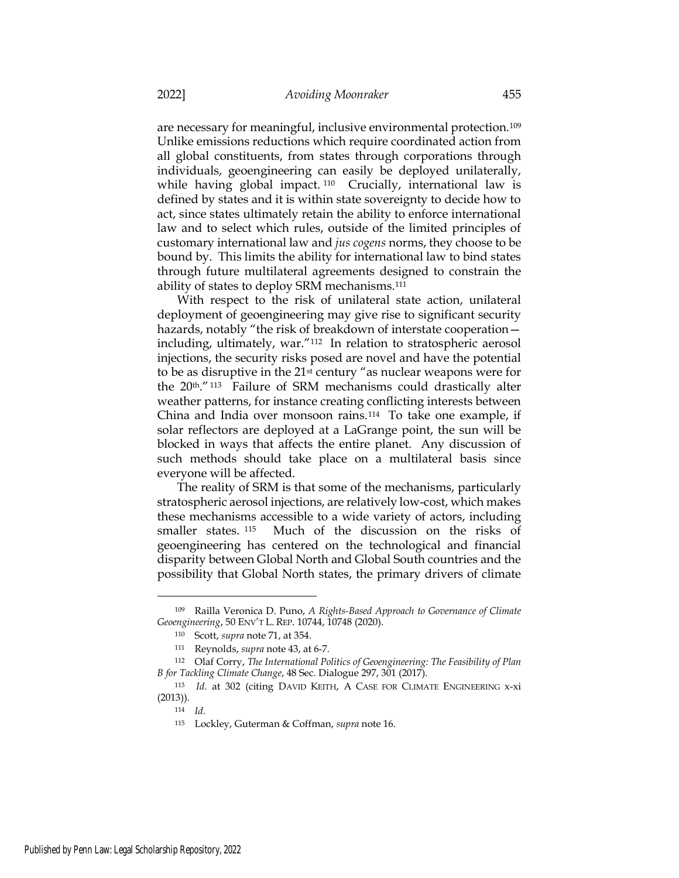are necessary for meaningful, inclusive environmental protection.<sup>109</sup> Unlike emissions reductions which require coordinated action from all global constituents, from states through corporations through individuals, geoengineering can easily be deployed unilaterally, while having global impact.<sup>110</sup> Crucially, international law is defined by states and it is within state sovereignty to decide how to act, since states ultimately retain the ability to enforce international law and to select which rules, outside of the limited principles of customary international law and jus cogens norms, they choose to be bound by. This limits the ability for international law to bind states through future multilateral agreements designed to constrain the ability of states to deploy SRM mechanisms.<sup>111</sup>

With respect to the risk of unilateral state action, unilateral deployment of geoengineering may give rise to significant security hazards, notably "the risk of breakdown of interstate cooperation including, ultimately, war."112 In relation to stratospheric aerosol injections, the security risks posed are novel and have the potential to be as disruptive in the 21st century "as nuclear weapons were for the 20<sup>th</sup>."<sup>113</sup> Failure of SRM mechanisms could drastically alter weather patterns, for instance creating conflicting interests between China and India over monsoon rains.114 To take one example, if solar reflectors are deployed at a LaGrange point, the sun will be blocked in ways that affects the entire planet. Any discussion of such methods should take place on a multilateral basis since everyone will be affected.

The reality of SRM is that some of the mechanisms, particularly stratospheric aerosol injections, are relatively low-cost, which makes these mechanisms accessible to a wide variety of actors, including smaller states. <sup>115</sup> Much of the discussion on the risks of geoengineering has centered on the technological and financial disparity between Global North and Global South countries and the possibility that Global North states, the primary drivers of climate

<sup>109</sup> Railla Veronica D. Puno, A Rights-Based Approach to Governance of Climate Geoengineering, 50 ENV'T L. REP. 10744, 10748 (2020).

<sup>110</sup> Scott, supra note 71, at 354.

<sup>111</sup> Reynolds, supra note 43, at 6-7.

<sup>112</sup> Olaf Corry, The International Politics of Geoengineering: The Feasibility of Plan B for Tackling Climate Change, 48 Sec. Dialogue 297, 301 (2017).

<sup>113</sup> Id. at 302 (citing DAVID KEITH, A CASE FOR CLIMATE ENGINEERING x-xi (2013)).

<sup>114</sup> Id.

<sup>115</sup> Lockley, Guterman & Coffman, supra note 16.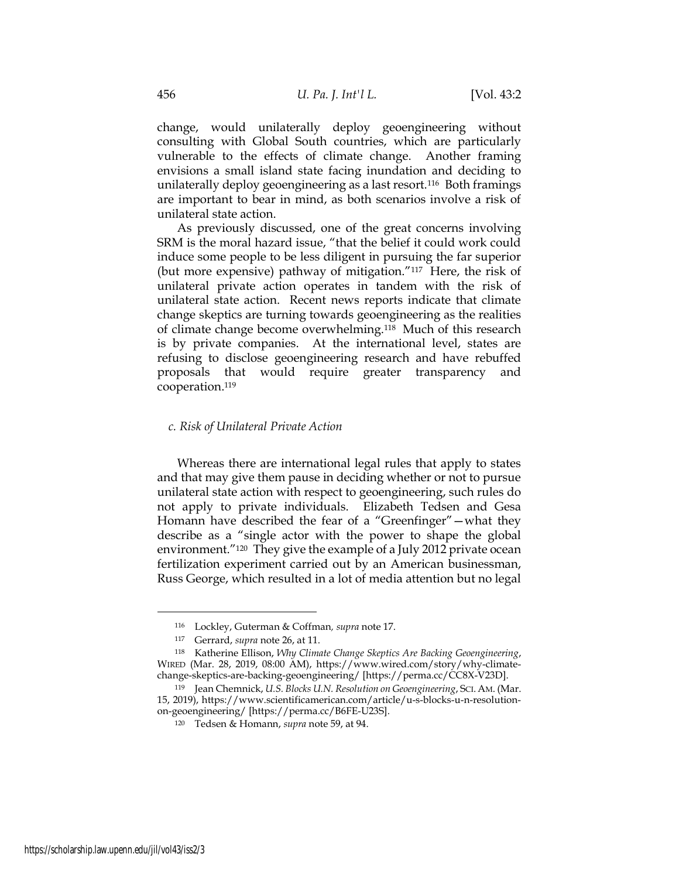change, would unilaterally deploy geoengineering without consulting with Global South countries, which are particularly vulnerable to the effects of climate change. Another framing envisions a small island state facing inundation and deciding to unilaterally deploy geoengineering as a last resort.116 Both framings are important to bear in mind, as both scenarios involve a risk of unilateral state action.

As previously discussed, one of the great concerns involving SRM is the moral hazard issue, "that the belief it could work could induce some people to be less diligent in pursuing the far superior (but more expensive) pathway of mitigation."117 Here, the risk of unilateral private action operates in tandem with the risk of unilateral state action. Recent news reports indicate that climate change skeptics are turning towards geoengineering as the realities of climate change become overwhelming.118 Much of this research is by private companies. At the international level, states are refusing to disclose geoengineering research and have rebuffed proposals that would require greater transparency and cooperation.<sup>119</sup>

### c. Risk of Unilateral Private Action

Whereas there are international legal rules that apply to states and that may give them pause in deciding whether or not to pursue unilateral state action with respect to geoengineering, such rules do not apply to private individuals. Elizabeth Tedsen and Gesa Homann have described the fear of a "Greenfinger"—what they describe as a "single actor with the power to shape the global environment."<sup>120</sup> They give the example of a July 2012 private ocean fertilization experiment carried out by an American businessman, Russ George, which resulted in a lot of media attention but no legal

<sup>116</sup> Lockley, Guterman & Coffman, supra note 17.

<sup>117</sup> Gerrard, supra note 26, at 11.

<sup>118</sup> Katherine Ellison, Why Climate Change Skeptics Are Backing Geoengineering, WIRED (Mar. 28, 2019, 08:00 AM), https://www.wired.com/story/why-climatechange-skeptics-are-backing-geoengineering/ [https://perma.cc/CC8X-V23D].

<sup>119</sup> Jean Chemnick, U.S. Blocks U.N. Resolution on Geoengineering, SCI. AM. (Mar. 15, 2019), https://www.scientificamerican.com/article/u-s-blocks-u-n-resolutionon-geoengineering/ [https://perma.cc/B6FE-U23S].

<sup>120</sup> Tedsen & Homann, supra note 59, at 94.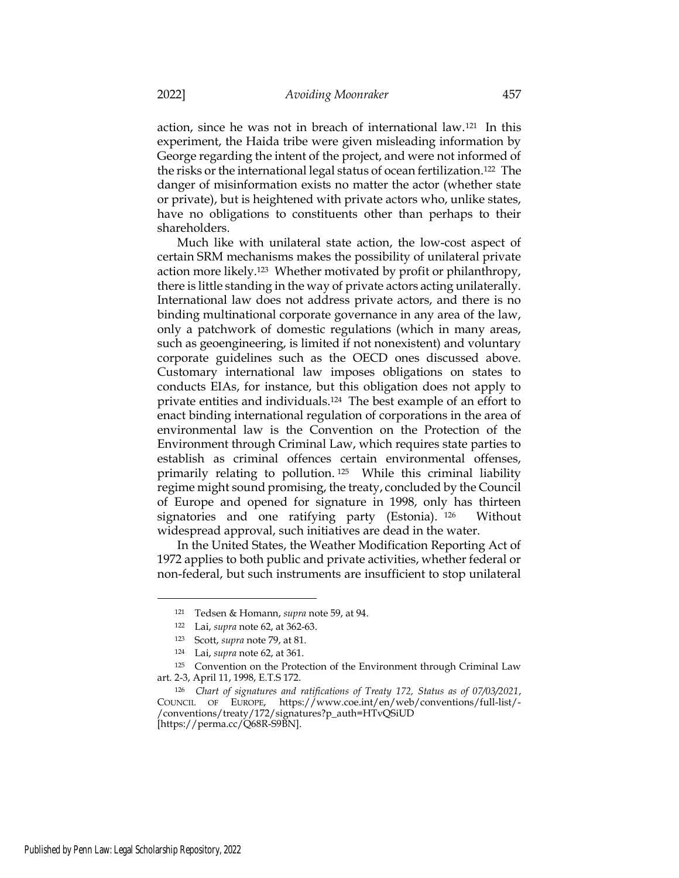action, since he was not in breach of international law.121 In this experiment, the Haida tribe were given misleading information by George regarding the intent of the project, and were not informed of the risks or the international legal status of ocean fertilization.122 The danger of misinformation exists no matter the actor (whether state or private), but is heightened with private actors who, unlike states, have no obligations to constituents other than perhaps to their shareholders.

Much like with unilateral state action, the low-cost aspect of certain SRM mechanisms makes the possibility of unilateral private action more likely.123 Whether motivated by profit or philanthropy, there is little standing in the way of private actors acting unilaterally. International law does not address private actors, and there is no binding multinational corporate governance in any area of the law, only a patchwork of domestic regulations (which in many areas, such as geoengineering, is limited if not nonexistent) and voluntary corporate guidelines such as the OECD ones discussed above. Customary international law imposes obligations on states to conducts EIAs, for instance, but this obligation does not apply to private entities and individuals.124 The best example of an effort to enact binding international regulation of corporations in the area of environmental law is the Convention on the Protection of the Environment through Criminal Law, which requires state parties to establish as criminal offences certain environmental offenses, primarily relating to pollution. <sup>125</sup> While this criminal liability regime might sound promising, the treaty, concluded by the Council of Europe and opened for signature in 1998, only has thirteen signatories and one ratifying party (Estonia). <sup>126</sup> Without widespread approval, such initiatives are dead in the water.

In the United States, the Weather Modification Reporting Act of 1972 applies to both public and private activities, whether federal or non-federal, but such instruments are insufficient to stop unilateral

<sup>121</sup> Tedsen & Homann, supra note 59, at 94.

<sup>122</sup> Lai, supra note 62, at 362-63.

<sup>123</sup> Scott, supra note 79, at 81.

<sup>124</sup> Lai, supra note 62, at 361.

<sup>&</sup>lt;sup>125</sup> Convention on the Protection of the Environment through Criminal Law art. 2-3, April 11, 1998, E.T.S 172.

<sup>126</sup> Chart of signatures and ratifications of Treaty 172, Status as of 07/03/2021, COUNCIL OF EUROPE, https://www.coe.int/en/web/conventions/full-list/- /conventions/treaty/172/signatures?p\_auth=HTvQSiUD [https://perma.cc/Q68R-S9BN].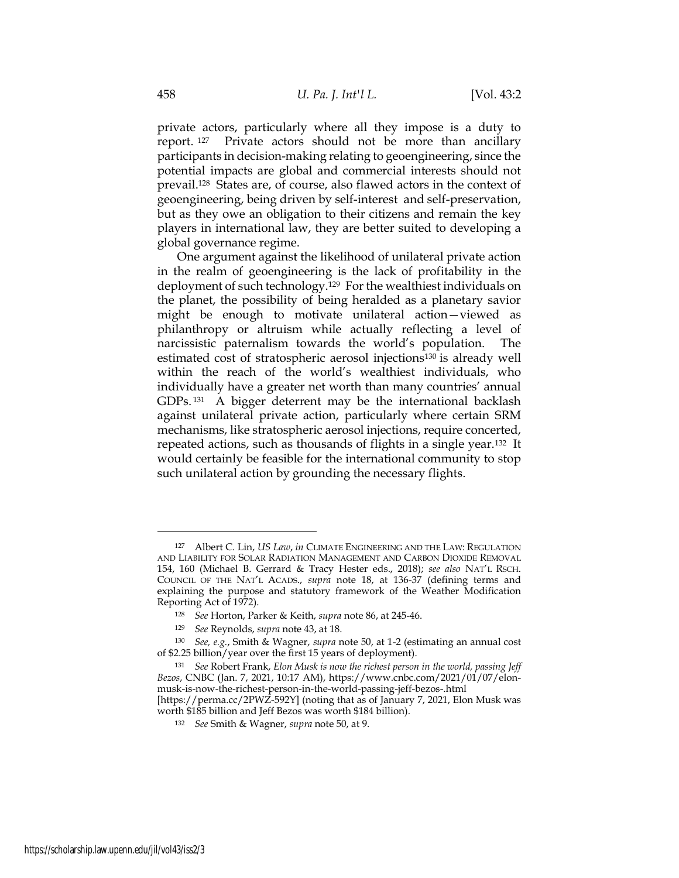private actors, particularly where all they impose is a duty to report. <sup>127</sup> Private actors should not be more than ancillary participants in decision-making relating to geoengineering, since the potential impacts are global and commercial interests should not prevail.128 States are, of course, also flawed actors in the context of geoengineering, being driven by self-interest and self-preservation, but as they owe an obligation to their citizens and remain the key players in international law, they are better suited to developing a global governance regime.

One argument against the likelihood of unilateral private action in the realm of geoengineering is the lack of profitability in the deployment of such technology.129 For the wealthiest individuals on the planet, the possibility of being heralded as a planetary savior might be enough to motivate unilateral action—viewed as philanthropy or altruism while actually reflecting a level of narcissistic paternalism towards the world's population. The estimated cost of stratospheric aerosol injections130 is already well within the reach of the world's wealthiest individuals, who individually have a greater net worth than many countries' annual GDPs.<sup>131</sup> A bigger deterrent may be the international backlash against unilateral private action, particularly where certain SRM mechanisms, like stratospheric aerosol injections, require concerted, repeated actions, such as thousands of flights in a single year.132 It would certainly be feasible for the international community to stop such unilateral action by grounding the necessary flights.

<sup>127</sup> Albert C. Lin, US Law, in CLIMATE ENGINEERING AND THE LAW: REGULATION AND LIABILITY FOR SOLAR RADIATION MANAGEMENT AND CARBON DIOXIDE REMOVAL 154, 160 (Michael B. Gerrard & Tracy Hester eds., 2018); see also NAT'L RSCH. COUNCIL OF THE NAT'L ACADS., supra note 18, at 136-37 (defining terms and explaining the purpose and statutory framework of the Weather Modification Reporting Act of 1972).

<sup>128</sup> See Horton, Parker & Keith, supra note 86, at 245-46.

<sup>129</sup> See Reynolds, supra note 43, at 18.

<sup>130</sup> See, e.g., Smith & Wagner, supra note 50, at 1-2 (estimating an annual cost of \$2.25 billion/year over the first 15 years of deployment).

<sup>131</sup> See Robert Frank, Elon Musk is now the richest person in the world, passing Jeff Bezos, CNBC (Jan. 7, 2021, 10:17 AM), https://www.cnbc.com/2021/01/07/elonmusk-is-now-the-richest-person-in-the-world-passing-jeff-bezos-.html [https://perma.cc/2PWZ-592Y] (noting that as of January 7, 2021, Elon Musk was

worth \$185 billion and Jeff Bezos was worth \$184 billion).

<sup>132</sup> See Smith & Wagner, supra note 50, at 9.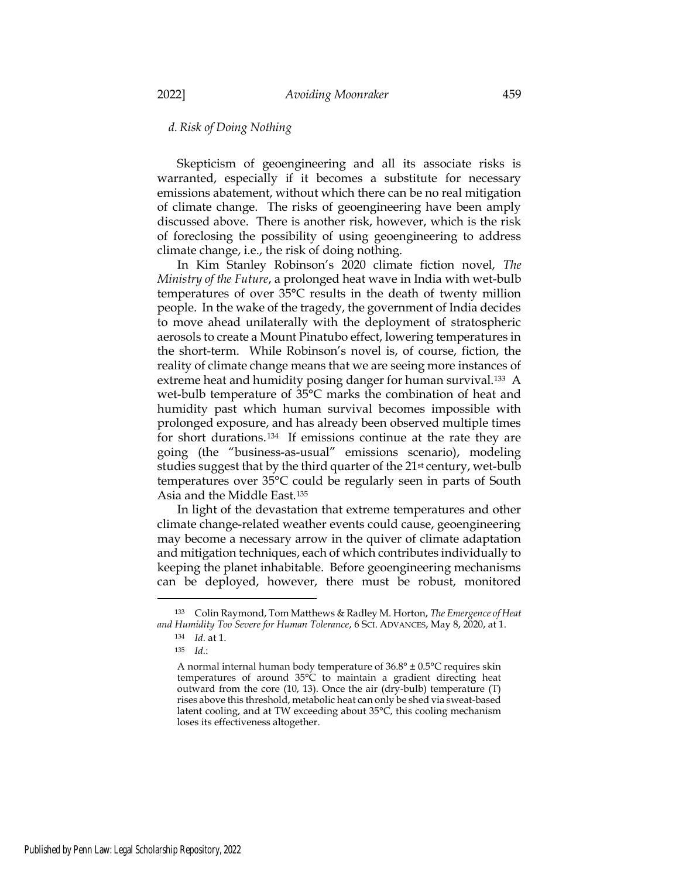# d.Risk of Doing Nothing

Skepticism of geoengineering and all its associate risks is warranted, especially if it becomes a substitute for necessary emissions abatement, without which there can be no real mitigation of climate change. The risks of geoengineering have been amply discussed above. There is another risk, however, which is the risk of foreclosing the possibility of using geoengineering to address climate change, i.e., the risk of doing nothing.

In Kim Stanley Robinson's 2020 climate fiction novel, The Ministry of the Future, a prolonged heat wave in India with wet-bulb temperatures of over 35°C results in the death of twenty million people. In the wake of the tragedy, the government of India decides to move ahead unilaterally with the deployment of stratospheric aerosols to create a Mount Pinatubo effect, lowering temperatures in the short-term. While Robinson's novel is, of course, fiction, the reality of climate change means that we are seeing more instances of extreme heat and humidity posing danger for human survival.<sup>133</sup> A wet-bulb temperature of 35°C marks the combination of heat and humidity past which human survival becomes impossible with prolonged exposure, and has already been observed multiple times for short durations.134 If emissions continue at the rate they are going (the "business-as-usual" emissions scenario), modeling studies suggest that by the third quarter of the 21<sup>st</sup> century, wet-bulb temperatures over 35°C could be regularly seen in parts of South Asia and the Middle East.<sup>135</sup>

In light of the devastation that extreme temperatures and other climate change-related weather events could cause, geoengineering may become a necessary arrow in the quiver of climate adaptation and mitigation techniques, each of which contributes individually to keeping the planet inhabitable. Before geoengineering mechanisms can be deployed, however, there must be robust, monitored

<sup>133</sup> Colin Raymond, Tom Matthews & Radley M. Horton, The Emergence of Heat and Humidity Too Severe for Human Tolerance, 6 SCI. ADVANCES, May 8, 2020, at 1.

<sup>134</sup> Id. at 1.

<sup>135</sup>  $Id.$ :

A normal internal human body temperature of 36.8° ± 0.5°C requires skin temperatures of around 35°C to maintain a gradient directing heat outward from the core (10, 13). Once the air (dry-bulb) temperature (T) rises above this threshold, metabolic heat can only be shed via sweat-based latent cooling, and at TW exceeding about 35°C, this cooling mechanism loses its effectiveness altogether.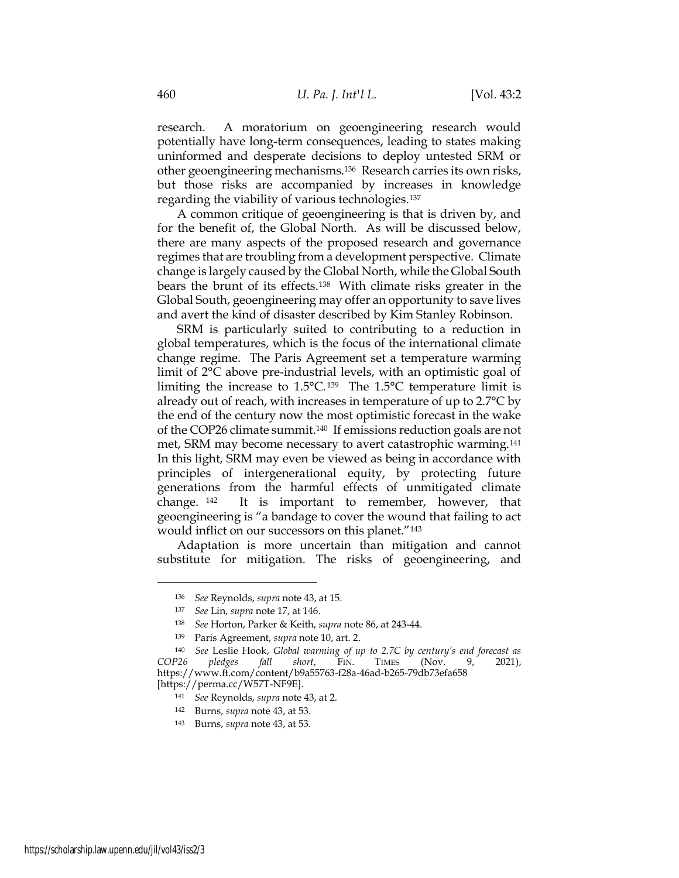research. A moratorium on geoengineering research would potentially have long-term consequences, leading to states making uninformed and desperate decisions to deploy untested SRM or other geoengineering mechanisms.136 Research carries its own risks, but those risks are accompanied by increases in knowledge regarding the viability of various technologies.<sup>137</sup>

A common critique of geoengineering is that is driven by, and for the benefit of, the Global North. As will be discussed below, there are many aspects of the proposed research and governance regimes that are troubling from a development perspective. Climate change is largely caused by the Global North, while the Global South bears the brunt of its effects.138 With climate risks greater in the Global South, geoengineering may offer an opportunity to save lives and avert the kind of disaster described by Kim Stanley Robinson.

SRM is particularly suited to contributing to a reduction in global temperatures, which is the focus of the international climate change regime. The Paris Agreement set a temperature warming limit of 2°C above pre-industrial levels, with an optimistic goal of limiting the increase to  $1.5^{\circ}$ C. 139 The  $1.5^{\circ}$ C temperature limit is already out of reach, with increases in temperature of up to 2.7°C by the end of the century now the most optimistic forecast in the wake of the COP26 climate summit.140 If emissions reduction goals are not met, SRM may become necessary to avert catastrophic warming.<sup>141</sup> In this light, SRM may even be viewed as being in accordance with principles of intergenerational equity, by protecting future generations from the harmful effects of unmitigated climate change. <sup>142</sup> It is important to remember, however, that geoengineering is "a bandage to cover the wound that failing to act would inflict on our successors on this planet."<sup>143</sup>

Adaptation is more uncertain than mitigation and cannot substitute for mitigation. The risks of geoengineering, and

<sup>136</sup> See Reynolds, supra note 43, at 15.

<sup>137</sup> See Lin, supra note 17, at 146.

<sup>138</sup> See Horton, Parker & Keith, supra note 86, at 243-44.

<sup>139</sup> Paris Agreement, supra note 10, art. 2.

<sup>&</sup>lt;sup>140</sup> See Leslie Hook, Global warming of up to 2.7C by century's end forecast as<br>P26 pledges fall short, FIN. TIMES (Nov. 9, 2021), COP26 pledges fall short, FIN. TIMES (Nov. 9, 2021), https://www.ft.com/content/b9a55763-f28a-46ad-b265-79db73efa658 [https://perma.cc/W57T-NF9E].

<sup>141</sup> See Reynolds, supra note 43, at 2.

<sup>142</sup> Burns, supra note 43, at 53.

<sup>143</sup> Burns, supra note 43, at 53.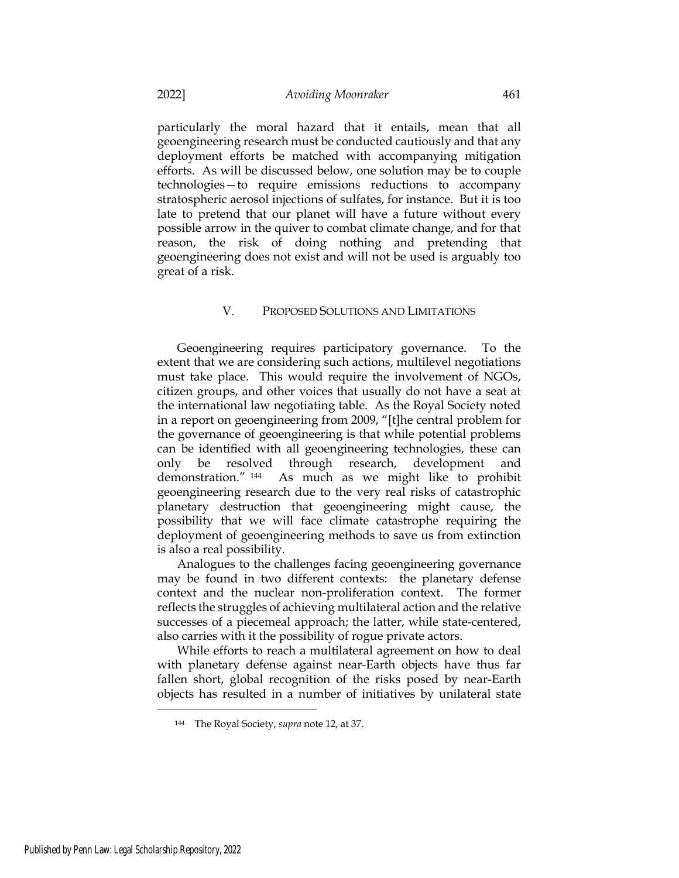particularly the moral hazard that it entails, mean that all geoengineering research must be conducted cautiously and that any deployment efforts be matched with accompanying mitigation efforts. As will be discussed below, one solution may be to couple technologies—to require emissions reductions to accompany stratospheric aerosol injections of sulfates, for instance. But it is too late to pretend that our planet will have a future without every possible arrow in the quiver to combat climate change, and for that reason, the risk of doing nothing and pretending that geoengineering does not exist and will not be used is arguably too great of a risk.

# V. PROPOSED SOLUTIONS AND LIMITATIONS

Geoengineering requires participatory governance. To the extent that we are considering such actions, multilevel negotiations must take place. This would require the involvement of NGOs, citizen groups, and other voices that usually do not have a seat at the international law negotiating table. As the Royal Society noted in a report on geoengineering from 2009, "[t]he central problem for the governance of geoengineering is that while potential problems can be identified with all geoengineering technologies, these can only be resolved through research, development and demonstration." <sup>144</sup> As much as we might like to prohibit geoengineering research due to the very real risks of catastrophic planetary destruction that geoengineering might cause, the possibility that we will face climate catastrophe requiring the deployment of geoengineering methods to save us from extinction is also a real possibility.

Analogues to the challenges facing geoengineering governance may be found in two different contexts: the planetary defense context and the nuclear non-proliferation context. The former reflects the struggles of achieving multilateral action and the relative successes of a piecemeal approach; the latter, while state-centered, also carries with it the possibility of rogue private actors.

While efforts to reach a multilateral agreement on how to deal with planetary defense against near-Earth objects have thus far fallen short, global recognition of the risks posed by near-Earth objects has resulted in a number of initiatives by unilateral state

<sup>144</sup> The Royal Society, supra note 12, at 37.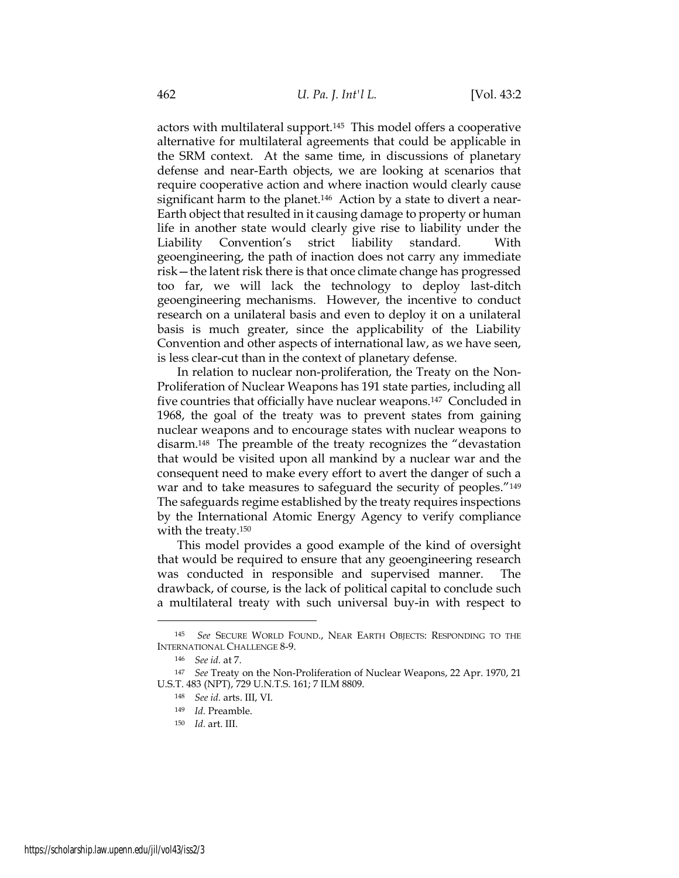actors with multilateral support.145 This model offers a cooperative alternative for multilateral agreements that could be applicable in the SRM context. At the same time, in discussions of planetary defense and near-Earth objects, we are looking at scenarios that require cooperative action and where inaction would clearly cause significant harm to the planet.146 Action by a state to divert a near-Earth object that resulted in it causing damage to property or human life in another state would clearly give rise to liability under the Liability Convention's strict liability standard. With geoengineering, the path of inaction does not carry any immediate risk—the latent risk there is that once climate change has progressed too far, we will lack the technology to deploy last-ditch geoengineering mechanisms. However, the incentive to conduct research on a unilateral basis and even to deploy it on a unilateral basis is much greater, since the applicability of the Liability Convention and other aspects of international law, as we have seen, is less clear-cut than in the context of planetary defense.

In relation to nuclear non-proliferation, the Treaty on the Non-Proliferation of Nuclear Weapons has 191 state parties, including all five countries that officially have nuclear weapons.147 Concluded in 1968, the goal of the treaty was to prevent states from gaining nuclear weapons and to encourage states with nuclear weapons to disarm.148 The preamble of the treaty recognizes the "devastation that would be visited upon all mankind by a nuclear war and the consequent need to make every effort to avert the danger of such a war and to take measures to safeguard the security of peoples."<sup>149</sup> The safeguards regime established by the treaty requires inspections by the International Atomic Energy Agency to verify compliance with the treaty.<sup>150</sup>

This model provides a good example of the kind of oversight that would be required to ensure that any geoengineering research was conducted in responsible and supervised manner. The drawback, of course, is the lack of political capital to conclude such a multilateral treaty with such universal buy-in with respect to

<sup>145</sup> See SECURE WORLD FOUND., NEAR EARTH OBJECTS: RESPONDING TO THE INTERNATIONAL CHALLENGE 8-9.

<sup>146</sup> See id. at 7.

<sup>&</sup>lt;sup>147</sup> See Treaty on the Non-Proliferation of Nuclear Weapons, 22 Apr. 1970, 21 U.S.T. 483 (NPT), 729 U.N.T.S. 161; 7 ILM 8809.

<sup>148</sup> See id. arts. III, VI.

<sup>149</sup> Id. Preamble.

<sup>150</sup> Id. art. III.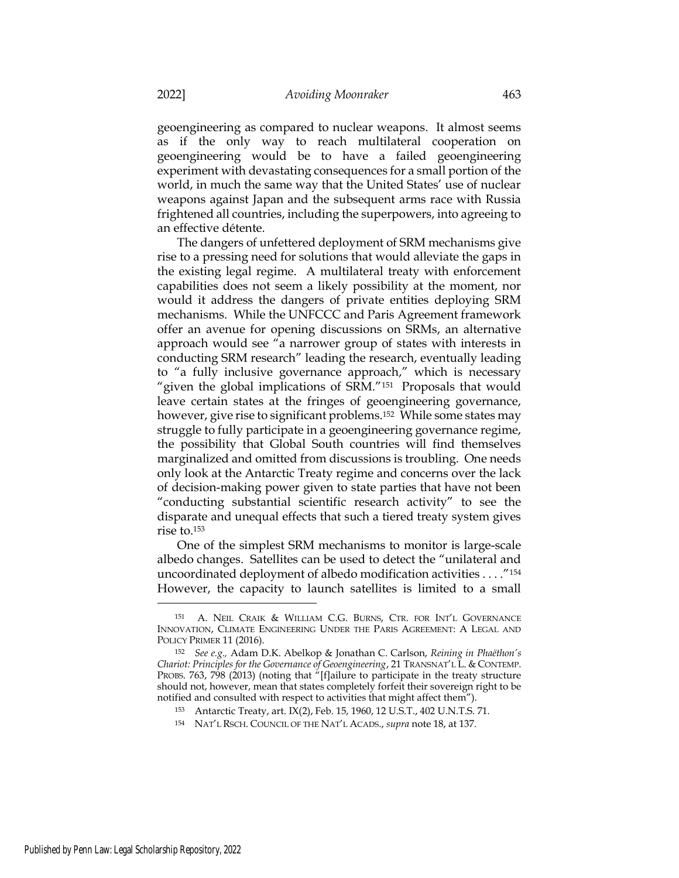geoengineering as compared to nuclear weapons. It almost seems as if the only way to reach multilateral cooperation on geoengineering would be to have a failed geoengineering experiment with devastating consequences for a small portion of the world, in much the same way that the United States' use of nuclear weapons against Japan and the subsequent arms race with Russia frightened all countries, including the superpowers, into agreeing to an effective détente.

The dangers of unfettered deployment of SRM mechanisms give rise to a pressing need for solutions that would alleviate the gaps in the existing legal regime. A multilateral treaty with enforcement capabilities does not seem a likely possibility at the moment, nor would it address the dangers of private entities deploying SRM mechanisms. While the UNFCCC and Paris Agreement framework offer an avenue for opening discussions on SRMs, an alternative approach would see "a narrower group of states with interests in conducting SRM research" leading the research, eventually leading to "a fully inclusive governance approach," which is necessary "given the global implications of SRM."151 Proposals that would leave certain states at the fringes of geoengineering governance, however, give rise to significant problems.<sup>152</sup> While some states may struggle to fully participate in a geoengineering governance regime, the possibility that Global South countries will find themselves marginalized and omitted from discussions is troubling. One needs only look at the Antarctic Treaty regime and concerns over the lack of decision-making power given to state parties that have not been "conducting substantial scientific research activity" to see the disparate and unequal effects that such a tiered treaty system gives rise to.<sup>153</sup>

One of the simplest SRM mechanisms to monitor is large-scale albedo changes. Satellites can be used to detect the "unilateral and uncoordinated deployment of albedo modification activities . . . ."<sup>154</sup> However, the capacity to launch satellites is limited to a small

<sup>151</sup> A. NEIL CRAIK & WILLIAM C.G. BURNS, CTR. FOR INT'L GOVERNANCE INNOVATION, CLIMATE ENGINEERING UNDER THE PARIS AGREEMENT: A LEGAL AND POLICY PRIMER 11 (2016).

<sup>152</sup> See e.g., Adam D.K. Abelkop & Jonathan C. Carlson, Reining in Phaëthon's Chariot: Principles for the Governance of Geoengineering, 21 TRANSNAT'L L. & CONTEMP. PROBS. 763, 798 (2013) (noting that "[f]ailure to participate in the treaty structure should not, however, mean that states completely forfeit their sovereign right to be notified and consulted with respect to activities that might affect them").

<sup>153</sup> Antarctic Treaty, art. IX(2), Feb. 15, 1960, 12 U.S.T., 402 U.N.T.S. 71.

<sup>154</sup> NAT'L RSCH. COUNCIL OF THE NAT'L ACADS., supra note 18, at 137.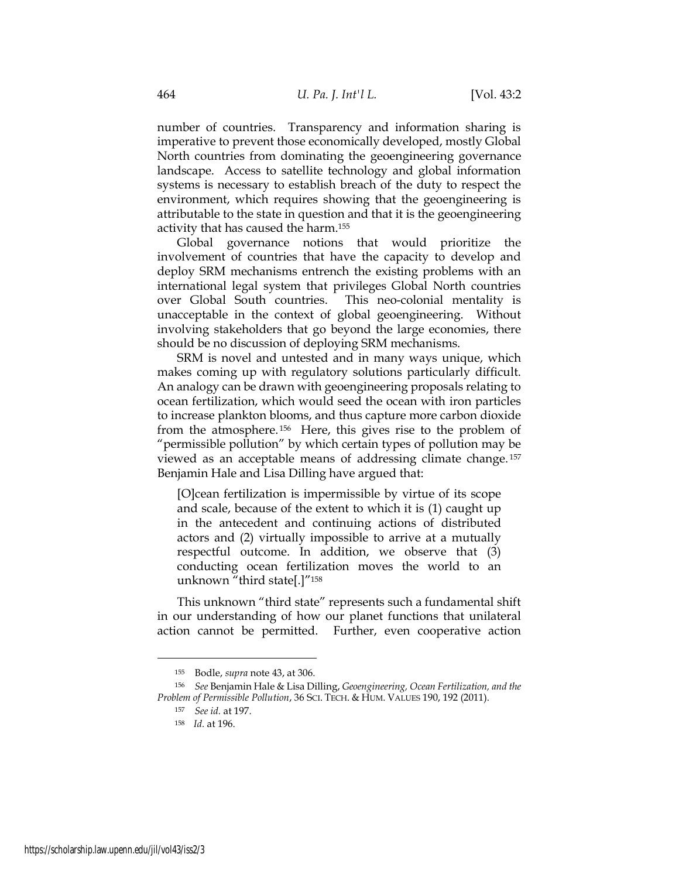number of countries. Transparency and information sharing is imperative to prevent those economically developed, mostly Global North countries from dominating the geoengineering governance landscape. Access to satellite technology and global information systems is necessary to establish breach of the duty to respect the environment, which requires showing that the geoengineering is attributable to the state in question and that it is the geoengineering activity that has caused the harm.<sup>155</sup>

Global governance notions that would prioritize the involvement of countries that have the capacity to develop and deploy SRM mechanisms entrench the existing problems with an international legal system that privileges Global North countries over Global South countries. This neo-colonial mentality is unacceptable in the context of global geoengineering. Without involving stakeholders that go beyond the large economies, there should be no discussion of deploying SRM mechanisms.

SRM is novel and untested and in many ways unique, which makes coming up with regulatory solutions particularly difficult. An analogy can be drawn with geoengineering proposals relating to ocean fertilization, which would seed the ocean with iron particles to increase plankton blooms, and thus capture more carbon dioxide from the atmosphere. <sup>156</sup> Here, this gives rise to the problem of "permissible pollution" by which certain types of pollution may be viewed as an acceptable means of addressing climate change. <sup>157</sup> Benjamin Hale and Lisa Dilling have argued that:

[O]cean fertilization is impermissible by virtue of its scope and scale, because of the extent to which it is (1) caught up in the antecedent and continuing actions of distributed actors and (2) virtually impossible to arrive at a mutually respectful outcome. In addition, we observe that (3) conducting ocean fertilization moves the world to an unknown "third state[.]"<sup>158</sup>

This unknown "third state" represents such a fundamental shift in our understanding of how our planet functions that unilateral action cannot be permitted. Further, even cooperative action

<sup>155</sup> Bodle, supra note 43, at 306.

<sup>156</sup> See Benjamin Hale & Lisa Dilling, Geoengineering, Ocean Fertilization, and the Problem of Permissible Pollution, 36 SCI. TECH. & HUM. VALUES 190, 192 (2011).

<sup>157</sup> See id. at 197.

<sup>158</sup> Id. at 196.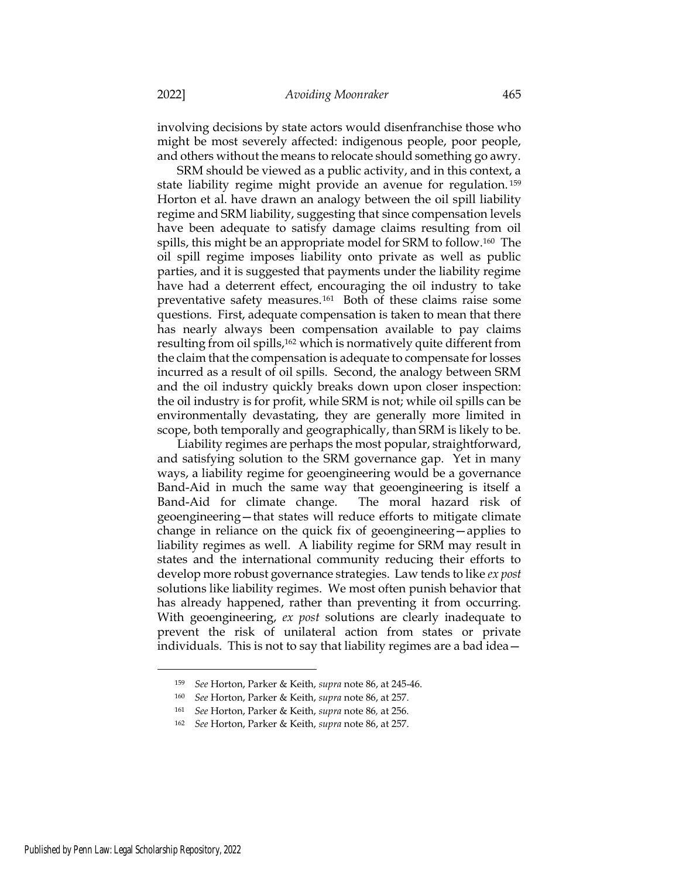involving decisions by state actors would disenfranchise those who might be most severely affected: indigenous people, poor people, and others without the means to relocate should something go awry.

SRM should be viewed as a public activity, and in this context, a state liability regime might provide an avenue for regulation. <sup>159</sup> Horton et al. have drawn an analogy between the oil spill liability regime and SRM liability, suggesting that since compensation levels have been adequate to satisfy damage claims resulting from oil spills, this might be an appropriate model for SRM to follow.160 The oil spill regime imposes liability onto private as well as public parties, and it is suggested that payments under the liability regime have had a deterrent effect, encouraging the oil industry to take preventative safety measures.161 Both of these claims raise some questions. First, adequate compensation is taken to mean that there has nearly always been compensation available to pay claims resulting from oil spills,162 which is normatively quite different from the claim that the compensation is adequate to compensate for losses incurred as a result of oil spills. Second, the analogy between SRM and the oil industry quickly breaks down upon closer inspection: the oil industry is for profit, while SRM is not; while oil spills can be environmentally devastating, they are generally more limited in scope, both temporally and geographically, than SRM is likely to be.

Liability regimes are perhaps the most popular, straightforward, and satisfying solution to the SRM governance gap. Yet in many ways, a liability regime for geoengineering would be a governance Band-Aid in much the same way that geoengineering is itself a Band-Aid for climate change. The moral hazard risk of geoengineering—that states will reduce efforts to mitigate climate change in reliance on the quick fix of geoengineering—applies to liability regimes as well. A liability regime for SRM may result in states and the international community reducing their efforts to develop more robust governance strategies. Law tends to like *ex post* solutions like liability regimes. We most often punish behavior that has already happened, rather than preventing it from occurring. With geoengineering, ex post solutions are clearly inadequate to prevent the risk of unilateral action from states or private individuals. This is not to say that liability regimes are a bad idea—

<sup>159</sup> See Horton, Parker & Keith, supra note 86, at 245-46.

<sup>160</sup> See Horton, Parker & Keith, supra note 86, at 257.

<sup>161</sup> See Horton, Parker & Keith, supra note 86, at 256.

<sup>162</sup> See Horton, Parker & Keith, supra note 86, at 257.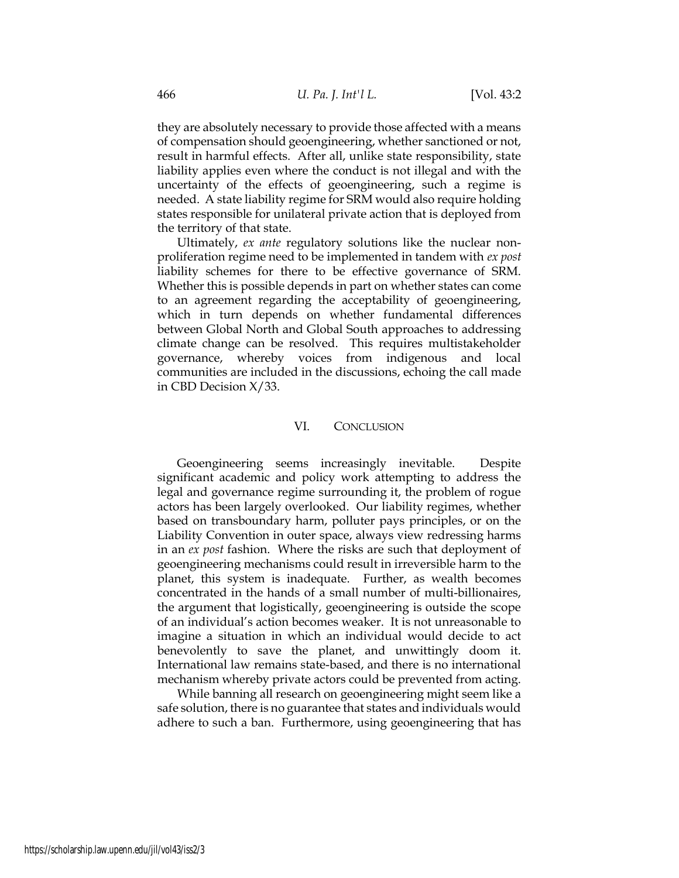they are absolutely necessary to provide those affected with a means of compensation should geoengineering, whether sanctioned or not, result in harmful effects. After all, unlike state responsibility, state liability applies even where the conduct is not illegal and with the uncertainty of the effects of geoengineering, such a regime is needed. A state liability regime for SRM would also require holding states responsible for unilateral private action that is deployed from the territory of that state.

Ultimately, ex ante regulatory solutions like the nuclear nonproliferation regime need to be implemented in tandem with ex post liability schemes for there to be effective governance of SRM. Whether this is possible depends in part on whether states can come to an agreement regarding the acceptability of geoengineering, which in turn depends on whether fundamental differences between Global North and Global South approaches to addressing climate change can be resolved. This requires multistakeholder governance, whereby voices from indigenous and local communities are included in the discussions, echoing the call made in CBD Decision X/33.

# VI. CONCLUSION

Geoengineering seems increasingly inevitable. Despite significant academic and policy work attempting to address the legal and governance regime surrounding it, the problem of rogue actors has been largely overlooked. Our liability regimes, whether based on transboundary harm, polluter pays principles, or on the Liability Convention in outer space, always view redressing harms in an ex post fashion. Where the risks are such that deployment of geoengineering mechanisms could result in irreversible harm to the planet, this system is inadequate. Further, as wealth becomes concentrated in the hands of a small number of multi-billionaires, the argument that logistically, geoengineering is outside the scope of an individual's action becomes weaker. It is not unreasonable to imagine a situation in which an individual would decide to act benevolently to save the planet, and unwittingly doom it. International law remains state-based, and there is no international mechanism whereby private actors could be prevented from acting.

While banning all research on geoengineering might seem like a safe solution, there is no guarantee that states and individuals would adhere to such a ban. Furthermore, using geoengineering that has